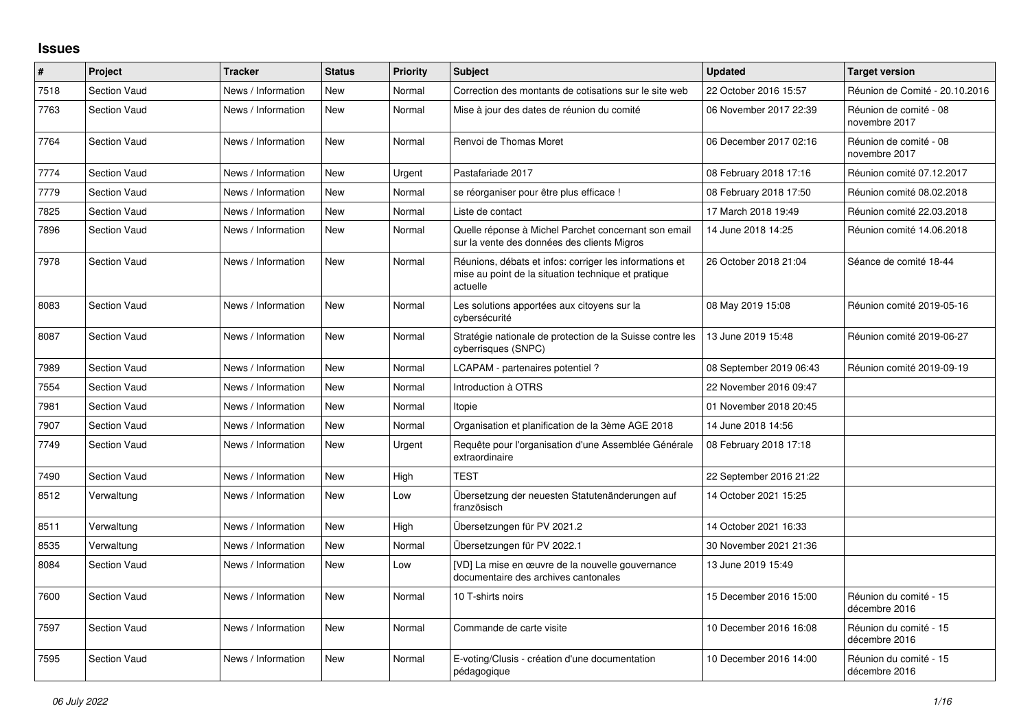## **Issues**

| #    | Project             | <b>Tracker</b>     | <b>Status</b> | Priority | <b>Subject</b>                                                                                                             | <b>Updated</b>          | <b>Target version</b>                   |
|------|---------------------|--------------------|---------------|----------|----------------------------------------------------------------------------------------------------------------------------|-------------------------|-----------------------------------------|
| 7518 | <b>Section Vaud</b> | News / Information | <b>New</b>    | Normal   | Correction des montants de cotisations sur le site web                                                                     | 22 October 2016 15:57   | Réunion de Comité - 20.10.2016          |
| 7763 | <b>Section Vaud</b> | News / Information | <b>New</b>    | Normal   | Mise à jour des dates de réunion du comité                                                                                 | 06 November 2017 22:39  | Réunion de comité - 08<br>novembre 2017 |
| 7764 | <b>Section Vaud</b> | News / Information | <b>New</b>    | Normal   | Renvoi de Thomas Moret                                                                                                     | 06 December 2017 02:16  | Réunion de comité - 08<br>novembre 2017 |
| 7774 | <b>Section Vaud</b> | News / Information | <b>New</b>    | Urgent   | Pastafariade 2017                                                                                                          | 08 February 2018 17:16  | Réunion comité 07.12.2017               |
| 7779 | <b>Section Vaud</b> | News / Information | <b>New</b>    | Normal   | se réorganiser pour être plus efficace !                                                                                   | 08 February 2018 17:50  | Réunion comité 08.02.2018               |
| 7825 | <b>Section Vaud</b> | News / Information | <b>New</b>    | Normal   | Liste de contact                                                                                                           | 17 March 2018 19:49     | Réunion comité 22.03.2018               |
| 7896 | <b>Section Vaud</b> | News / Information | <b>New</b>    | Normal   | Quelle réponse à Michel Parchet concernant son email<br>sur la vente des données des clients Migros                        | 14 June 2018 14:25      | Réunion comité 14.06.2018               |
| 7978 | <b>Section Vaud</b> | News / Information | New           | Normal   | Réunions, débats et infos: corriger les informations et<br>mise au point de la situation technique et pratique<br>actuelle | 26 October 2018 21:04   | Séance de comité 18-44                  |
| 8083 | <b>Section Vaud</b> | News / Information | <b>New</b>    | Normal   | Les solutions apportées aux citoyens sur la<br>cybersécurité                                                               | 08 May 2019 15:08       | Réunion comité 2019-05-16               |
| 8087 | <b>Section Vaud</b> | News / Information | <b>New</b>    | Normal   | Stratégie nationale de protection de la Suisse contre les<br>cyberrisques (SNPC)                                           | 13 June 2019 15:48      | Réunion comité 2019-06-27               |
| 7989 | <b>Section Vaud</b> | News / Information | <b>New</b>    | Normal   | LCAPAM - partenaires potentiel?                                                                                            | 08 September 2019 06:43 | Réunion comité 2019-09-19               |
| 7554 | <b>Section Vaud</b> | News / Information | <b>New</b>    | Normal   | Introduction à OTRS                                                                                                        | 22 November 2016 09:47  |                                         |
| 7981 | <b>Section Vaud</b> | News / Information | <b>New</b>    | Normal   | Itopie                                                                                                                     | 01 November 2018 20:45  |                                         |
| 7907 | <b>Section Vaud</b> | News / Information | <b>New</b>    | Normal   | Organisation et planification de la 3ème AGE 2018                                                                          | 14 June 2018 14:56      |                                         |
| 7749 | <b>Section Vaud</b> | News / Information | New           | Urgent   | Requête pour l'organisation d'une Assemblée Générale<br>extraordinaire                                                     | 08 February 2018 17:18  |                                         |
| 7490 | <b>Section Vaud</b> | News / Information | <b>New</b>    | High     | <b>TEST</b>                                                                                                                | 22 September 2016 21:22 |                                         |
| 8512 | Verwaltung          | News / Information | <b>New</b>    | Low      | Übersetzung der neuesten Statutenänderungen auf<br>französisch                                                             | 14 October 2021 15:25   |                                         |
| 8511 | Verwaltung          | News / Information | <b>New</b>    | High     | Übersetzungen für PV 2021.2                                                                                                | 14 October 2021 16:33   |                                         |
| 8535 | Verwaltung          | News / Information | <b>New</b>    | Normal   | Übersetzungen für PV 2022.1                                                                                                | 30 November 2021 21:36  |                                         |
| 8084 | <b>Section Vaud</b> | News / Information | New           | Low      | [VD] La mise en œuvre de la nouvelle gouvernance<br>documentaire des archives cantonales                                   | 13 June 2019 15:49      |                                         |
| 7600 | <b>Section Vaud</b> | News / Information | <b>New</b>    | Normal   | 10 T-shirts noirs                                                                                                          | 15 December 2016 15:00  | Réunion du comité - 15<br>décembre 2016 |
| 7597 | <b>Section Vaud</b> | News / Information | <b>New</b>    | Normal   | Commande de carte visite                                                                                                   | 10 December 2016 16:08  | Réunion du comité - 15<br>décembre 2016 |
| 7595 | <b>Section Vaud</b> | News / Information | <b>New</b>    | Normal   | E-voting/Clusis - création d'une documentation<br>pédagogique                                                              | 10 December 2016 14:00  | Réunion du comité - 15<br>décembre 2016 |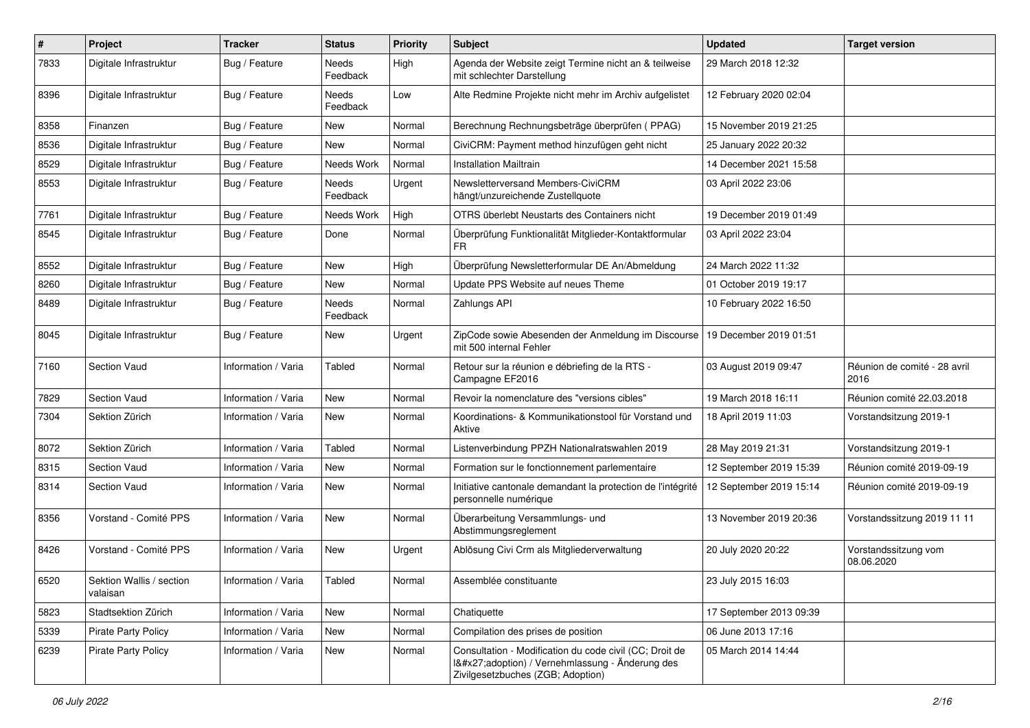| $\pmb{\#}$ | Project                              | <b>Tracker</b>      | <b>Status</b>     | <b>Priority</b> | <b>Subject</b>                                                                                                                              | <b>Updated</b>          | <b>Target version</b>                |
|------------|--------------------------------------|---------------------|-------------------|-----------------|---------------------------------------------------------------------------------------------------------------------------------------------|-------------------------|--------------------------------------|
| 7833       | Digitale Infrastruktur               | Bug / Feature       | Needs<br>Feedback | High            | Agenda der Website zeigt Termine nicht an & teilweise<br>mit schlechter Darstellung                                                         | 29 March 2018 12:32     |                                      |
| 8396       | Digitale Infrastruktur               | Bug / Feature       | Needs<br>Feedback | Low             | Alte Redmine Projekte nicht mehr im Archiv aufgelistet                                                                                      | 12 February 2020 02:04  |                                      |
| 8358       | Finanzen                             | Bug / Feature       | New               | Normal          | Berechnung Rechnungsbeträge überprüfen (PPAG)                                                                                               | 15 November 2019 21:25  |                                      |
| 8536       | Digitale Infrastruktur               | Bug / Feature       | New               | Normal          | CiviCRM: Payment method hinzufügen geht nicht                                                                                               | 25 January 2022 20:32   |                                      |
| 8529       | Digitale Infrastruktur               | Bug / Feature       | Needs Work        | Normal          | <b>Installation Mailtrain</b>                                                                                                               | 14 December 2021 15:58  |                                      |
| 8553       | Digitale Infrastruktur               | Bug / Feature       | Needs<br>Feedback | Urgent          | Newsletterversand Members-CiviCRM<br>hängt/unzureichende Zustellquote                                                                       | 03 April 2022 23:06     |                                      |
| 7761       | Digitale Infrastruktur               | Bug / Feature       | Needs Work        | High            | OTRS überlebt Neustarts des Containers nicht                                                                                                | 19 December 2019 01:49  |                                      |
| 8545       | Digitale Infrastruktur               | Bug / Feature       | Done              | Normal          | Überprüfung Funktionalität Mitglieder-Kontaktformular<br>FR                                                                                 | 03 April 2022 23:04     |                                      |
| 8552       | Digitale Infrastruktur               | Bug / Feature       | New               | High            | Überprüfung Newsletterformular DE An/Abmeldung                                                                                              | 24 March 2022 11:32     |                                      |
| 8260       | Digitale Infrastruktur               | Bug / Feature       | New               | Normal          | Update PPS Website auf neues Theme                                                                                                          | 01 October 2019 19:17   |                                      |
| 8489       | Digitale Infrastruktur               | Bug / Feature       | Needs<br>Feedback | Normal          | Zahlungs API                                                                                                                                | 10 February 2022 16:50  |                                      |
| 8045       | Digitale Infrastruktur               | Bug / Feature       | New               | Urgent          | ZipCode sowie Abesenden der Anmeldung im Discourse<br>mit 500 internal Fehler                                                               | 19 December 2019 01:51  |                                      |
| 7160       | <b>Section Vaud</b>                  | Information / Varia | Tabled            | Normal          | Retour sur la réunion e débriefing de la RTS -<br>Campagne EF2016                                                                           | 03 August 2019 09:47    | Réunion de comité - 28 avril<br>2016 |
| 7829       | Section Vaud                         | Information / Varia | <b>New</b>        | Normal          | Revoir la nomenclature des "versions cibles"                                                                                                | 19 March 2018 16:11     | Réunion comité 22.03.2018            |
| 7304       | Sektion Zürich                       | Information / Varia | New               | Normal          | Koordinations- & Kommunikationstool für Vorstand und<br>Aktive                                                                              | 18 April 2019 11:03     | Vorstandsitzung 2019-1               |
| 8072       | Sektion Zürich                       | Information / Varia | Tabled            | Normal          | Listenverbindung PPZH Nationalratswahlen 2019                                                                                               | 28 May 2019 21:31       | Vorstandsitzung 2019-1               |
| 8315       | Section Vaud                         | Information / Varia | New               | Normal          | Formation sur le fonctionnement parlementaire                                                                                               | 12 September 2019 15:39 | Réunion comité 2019-09-19            |
| 8314       | Section Vaud                         | Information / Varia | <b>New</b>        | Normal          | Initiative cantonale demandant la protection de l'intégrité<br>personnelle numérique                                                        | 12 September 2019 15:14 | Réunion comité 2019-09-19            |
| 8356       | Vorstand - Comité PPS                | Information / Varia | <b>New</b>        | Normal          | Überarbeitung Versammlungs- und<br>Abstimmungsreglement                                                                                     | 13 November 2019 20:36  | Vorstandssitzung 2019 11 11          |
| 8426       | Vorstand - Comité PPS                | Information / Varia | <b>New</b>        | Urgent          | Ablösung Civi Crm als Mitgliederverwaltung                                                                                                  | 20 July 2020 20:22      | Vorstandssitzung vom<br>08.06.2020   |
| 6520       | Sektion Wallis / section<br>valaisan | Information / Varia | Tabled            | Normal          | Assemblée constituante                                                                                                                      | 23 July 2015 16:03      |                                      |
| 5823       | Stadtsektion Zürich                  | Information / Varia | New               | Normal          | Chatiquette                                                                                                                                 | 17 September 2013 09:39 |                                      |
| 5339       | <b>Pirate Party Policy</b>           | Information / Varia | New               | Normal          | Compilation des prises de position                                                                                                          | 06 June 2013 17:16      |                                      |
| 6239       | <b>Pirate Party Policy</b>           | Information / Varia | New               | Normal          | Consultation - Modification du code civil (CC; Droit de<br>I'adoption) / Vernehmlassung - Änderung des<br>Zivilgesetzbuches (ZGB; Adoption) | 05 March 2014 14:44     |                                      |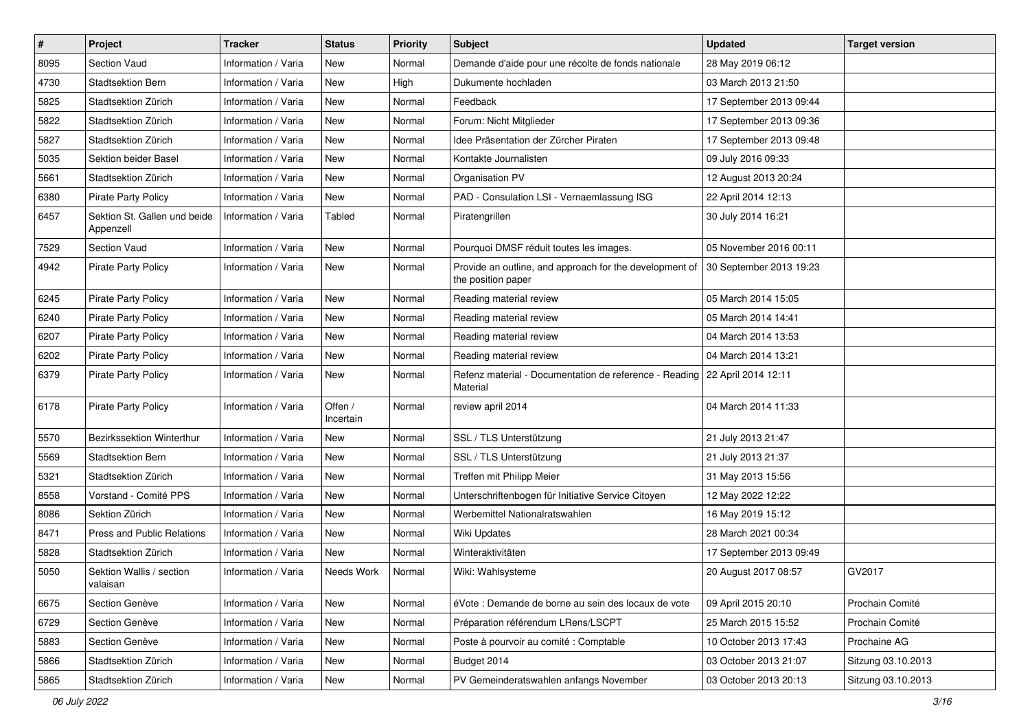| $\#$ | Project                                   | <b>Tracker</b>      | <b>Status</b>        | <b>Priority</b> | <b>Subject</b>                                                                           | <b>Updated</b>          | <b>Target version</b> |
|------|-------------------------------------------|---------------------|----------------------|-----------------|------------------------------------------------------------------------------------------|-------------------------|-----------------------|
| 8095 | Section Vaud                              | Information / Varia | New                  | Normal          | Demande d'aide pour une récolte de fonds nationale                                       | 28 May 2019 06:12       |                       |
| 4730 | <b>Stadtsektion Bern</b>                  | Information / Varia | <b>New</b>           | High            | Dukumente hochladen                                                                      | 03 March 2013 21:50     |                       |
| 5825 | Stadtsektion Zürich                       | Information / Varia | New                  | Normal          | Feedback                                                                                 | 17 September 2013 09:44 |                       |
| 5822 | Stadtsektion Zürich                       | Information / Varia | <b>New</b>           | Normal          | Forum: Nicht Mitglieder                                                                  | 17 September 2013 09:36 |                       |
| 5827 | Stadtsektion Zürich                       | Information / Varia | New                  | Normal          | Idee Präsentation der Zürcher Piraten                                                    | 17 September 2013 09:48 |                       |
| 5035 | <b>Sektion beider Basel</b>               | Information / Varia | <b>New</b>           | Normal          | Kontakte Journalisten                                                                    | 09 July 2016 09:33      |                       |
| 5661 | Stadtsektion Zürich                       | Information / Varia | <b>New</b>           | Normal          | Organisation PV                                                                          | 12 August 2013 20:24    |                       |
| 6380 | Pirate Party Policy                       | Information / Varia | New                  | Normal          | PAD - Consulation LSI - Vernaemlassung ISG                                               | 22 April 2014 12:13     |                       |
| 6457 | Sektion St. Gallen und beide<br>Appenzell | Information / Varia | Tabled               | Normal          | Piratengrillen                                                                           | 30 July 2014 16:21      |                       |
| 7529 | Section Vaud                              | Information / Varia | <b>New</b>           | Normal          | Pourquoi DMSF réduit toutes les images.                                                  | 05 November 2016 00:11  |                       |
| 4942 | Pirate Party Policy                       | Information / Varia | New                  | Normal          | Provide an outline, and approach for the development of<br>the position paper            | 30 September 2013 19:23 |                       |
| 6245 | Pirate Party Policy                       | Information / Varia | <b>New</b>           | Normal          | Reading material review                                                                  | 05 March 2014 15:05     |                       |
| 6240 | <b>Pirate Party Policy</b>                | Information / Varia | <b>New</b>           | Normal          | Reading material review                                                                  | 05 March 2014 14:41     |                       |
| 6207 | <b>Pirate Party Policy</b>                | Information / Varia | <b>New</b>           | Normal          | Reading material review                                                                  | 04 March 2014 13:53     |                       |
| 6202 | Pirate Party Policy                       | Information / Varia | New                  | Normal          | Reading material review                                                                  | 04 March 2014 13:21     |                       |
| 6379 | <b>Pirate Party Policy</b>                | Information / Varia | <b>New</b>           | Normal          | Refenz material - Documentation de reference - Reading   22 April 2014 12:11<br>Material |                         |                       |
| 6178 | <b>Pirate Party Policy</b>                | Information / Varia | Offen /<br>Incertain | Normal          | review april 2014                                                                        | 04 March 2014 11:33     |                       |
| 5570 | Bezirkssektion Winterthur                 | Information / Varia | <b>New</b>           | Normal          | SSL / TLS Unterstützung                                                                  | 21 July 2013 21:47      |                       |
| 5569 | <b>Stadtsektion Bern</b>                  | Information / Varia | <b>New</b>           | Normal          | SSL / TLS Unterstützung                                                                  | 21 July 2013 21:37      |                       |
| 5321 | Stadtsektion Zürich                       | Information / Varia | <b>New</b>           | Normal          | Treffen mit Philipp Meier                                                                | 31 May 2013 15:56       |                       |
| 8558 | Vorstand - Comité PPS                     | Information / Varia | <b>New</b>           | Normal          | Unterschriftenbogen für Initiative Service Citoyen                                       | 12 May 2022 12:22       |                       |
| 8086 | Sektion Zürich                            | Information / Varia | New                  | Normal          | Werbemittel Nationalratswahlen                                                           | 16 May 2019 15:12       |                       |
| 8471 | Press and Public Relations                | Information / Varia | New                  | Normal          | <b>Wiki Updates</b>                                                                      | 28 March 2021 00:34     |                       |
| 5828 | Stadtsektion Zürich                       | Information / Varia | New                  | Normal          | Winteraktivitäten                                                                        | 17 September 2013 09:49 |                       |
| 5050 | Sektion Wallis / section<br>valaisan      | Information / Varia | Needs Work           | Normal          | Wiki: Wahlsysteme                                                                        | 20 August 2017 08:57    | GV2017                |
| 6675 | Section Genève                            | Information / Varia | <b>New</b>           | Normal          | éVote : Demande de borne au sein des locaux de vote                                      | 09 April 2015 20:10     | Prochain Comité       |
| 6729 | Section Genève                            | Information / Varia | New                  | Normal          | Préparation référendum LRens/LSCPT                                                       | 25 March 2015 15:52     | Prochain Comité       |
| 5883 | Section Genève                            | Information / Varia | New                  | Normal          | Poste à pourvoir au comité : Comptable                                                   | 10 October 2013 17:43   | Prochaine AG          |
| 5866 | Stadtsektion Zürich                       | Information / Varia | New                  | Normal          | Budget 2014                                                                              | 03 October 2013 21:07   | Sitzung 03.10.2013    |
| 5865 | Stadtsektion Zürich                       | Information / Varia | New                  | Normal          | PV Gemeinderatswahlen anfangs November                                                   | 03 October 2013 20:13   | Sitzung 03.10.2013    |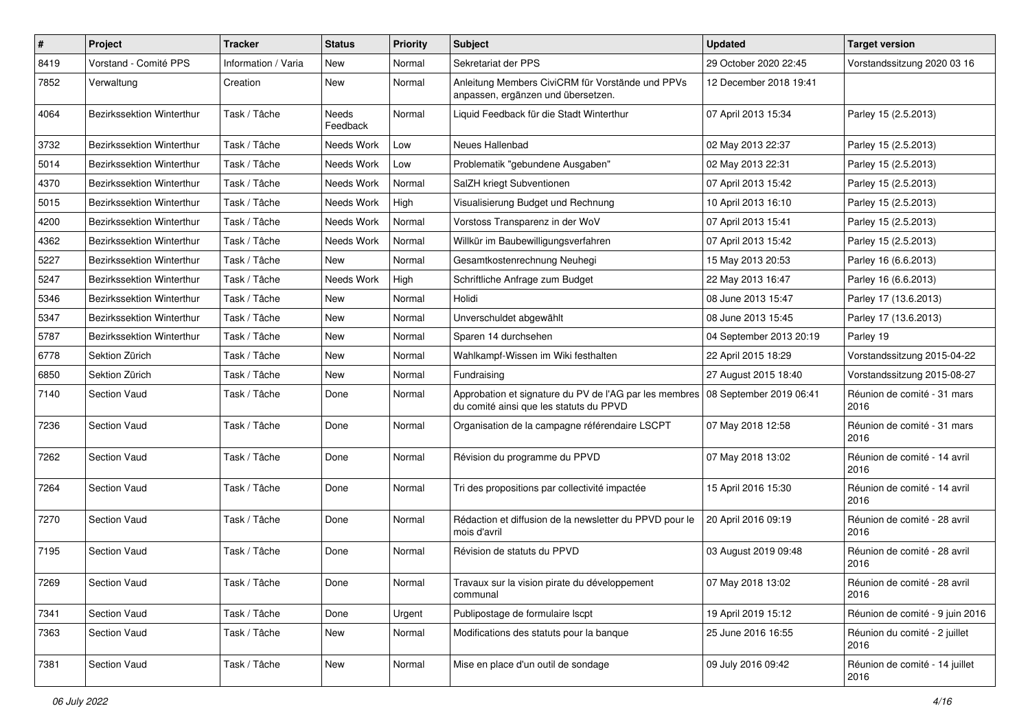| $\pmb{\#}$ | Project                   | <b>Tracker</b>      | <b>Status</b>     | <b>Priority</b> | Subject                                                                                                                   | <b>Updated</b>          | <b>Target version</b>                  |
|------------|---------------------------|---------------------|-------------------|-----------------|---------------------------------------------------------------------------------------------------------------------------|-------------------------|----------------------------------------|
| 8419       | Vorstand - Comité PPS     | Information / Varia | New               | Normal          | Sekretariat der PPS                                                                                                       | 29 October 2020 22:45   | Vorstandssitzung 2020 03 16            |
| 7852       | Verwaltung                | Creation            | <b>New</b>        | Normal          | Anleitung Members CiviCRM für Vorstände und PPVs<br>anpassen, ergänzen und übersetzen.                                    | 12 December 2018 19:41  |                                        |
| 4064       | Bezirkssektion Winterthur | Task / Tâche        | Needs<br>Feedback | Normal          | Liquid Feedback für die Stadt Winterthur                                                                                  | 07 April 2013 15:34     | Parley 15 (2.5.2013)                   |
| 3732       | Bezirkssektion Winterthur | Task / Tâche        | Needs Work        | Low             | Neues Hallenbad                                                                                                           | 02 May 2013 22:37       | Parley 15 (2.5.2013)                   |
| 5014       | Bezirkssektion Winterthur | Task / Tâche        | Needs Work        | Low             | Problematik "gebundene Ausgaben"                                                                                          | 02 May 2013 22:31       | Parley 15 (2.5.2013)                   |
| 4370       | Bezirkssektion Winterthur | Task / Tâche        | Needs Work        | Normal          | SalZH kriegt Subventionen                                                                                                 | 07 April 2013 15:42     | Parley 15 (2.5.2013)                   |
| 5015       | Bezirkssektion Winterthur | Task / Tâche        | Needs Work        | High            | Visualisierung Budget und Rechnung                                                                                        | 10 April 2013 16:10     | Parley 15 (2.5.2013)                   |
| 4200       | Bezirkssektion Winterthur | Task / Tâche        | Needs Work        | Normal          | Vorstoss Transparenz in der WoV                                                                                           | 07 April 2013 15:41     | Parley 15 (2.5.2013)                   |
| 4362       | Bezirkssektion Winterthur | Task / Tâche        | Needs Work        | Normal          | Willkür im Baubewilligungsverfahren                                                                                       | 07 April 2013 15:42     | Parley 15 (2.5.2013)                   |
| 5227       | Bezirkssektion Winterthur | Task / Tâche        | New               | Normal          | Gesamtkostenrechnung Neuhegi                                                                                              | 15 May 2013 20:53       | Parley 16 (6.6.2013)                   |
| 5247       | Bezirkssektion Winterthur | Task / Tâche        | Needs Work        | High            | Schriftliche Anfrage zum Budget                                                                                           | 22 May 2013 16:47       | Parley 16 (6.6.2013)                   |
| 5346       | Bezirkssektion Winterthur | Task / Tâche        | New               | Normal          | Holidi                                                                                                                    | 08 June 2013 15:47      | Parley 17 (13.6.2013)                  |
| 5347       | Bezirkssektion Winterthur | Task / Tâche        | <b>New</b>        | Normal          | Unverschuldet abgewählt                                                                                                   | 08 June 2013 15:45      | Parley 17 (13.6.2013)                  |
| 5787       | Bezirkssektion Winterthur | Task / Tâche        | New               | Normal          | Sparen 14 durchsehen                                                                                                      | 04 September 2013 20:19 | Parley 19                              |
| 6778       | Sektion Zürich            | Task / Tâche        | New               | Normal          | Wahlkampf-Wissen im Wiki festhalten                                                                                       | 22 April 2015 18:29     | Vorstandssitzung 2015-04-22            |
| 6850       | Sektion Zürich            | Task / Tâche        | <b>New</b>        | Normal          | Fundraising                                                                                                               | 27 August 2015 18:40    | Vorstandssitzung 2015-08-27            |
| 7140       | <b>Section Vaud</b>       | Task / Tâche        | Done              | Normal          | Approbation et signature du PV de l'AG par les membres 08 September 2019 06:41<br>du comité ainsi que les statuts du PPVD |                         | Réunion de comité - 31 mars<br>2016    |
| 7236       | <b>Section Vaud</b>       | Task / Tâche        | Done              | Normal          | Organisation de la campagne référendaire LSCPT                                                                            | 07 May 2018 12:58       | Réunion de comité - 31 mars<br>2016    |
| 7262       | <b>Section Vaud</b>       | Task / Tâche        | Done              | Normal          | Révision du programme du PPVD                                                                                             | 07 May 2018 13:02       | Réunion de comité - 14 avril<br>2016   |
| 7264       | <b>Section Vaud</b>       | Task / Tâche        | Done              | Normal          | Tri des propositions par collectivité impactée                                                                            | 15 April 2016 15:30     | Réunion de comité - 14 avril<br>2016   |
| 7270       | Section Vaud              | Task / Tâche        | Done              | Normal          | Rédaction et diffusion de la newsletter du PPVD pour le<br>mois d'avril                                                   | 20 April 2016 09:19     | Réunion de comité - 28 avril<br>2016   |
| 7195       | Section Vaud              | Task / Tâche        | Done              | Normal          | Révision de statuts du PPVD                                                                                               | 03 August 2019 09:48    | Réunion de comité - 28 avril<br>2016   |
| 7269       | Section Vaud              | Task / Tâche        | Done              | Normal          | Travaux sur la vision pirate du développement<br>communal                                                                 | 07 May 2018 13:02       | Réunion de comité - 28 avril<br>2016   |
| 7341       | Section Vaud              | Task / Tâche        | Done              | Urgent          | Publipostage de formulaire Iscpt                                                                                          | 19 April 2019 15:12     | Réunion de comité - 9 juin 2016        |
| 7363       | Section Vaud              | Task / Tâche        | New               | Normal          | Modifications des statuts pour la banque                                                                                  | 25 June 2016 16:55      | Réunion du comité - 2 juillet<br>2016  |
| 7381       | Section Vaud              | Task / Tâche        | New               | Normal          | Mise en place d'un outil de sondage                                                                                       | 09 July 2016 09:42      | Réunion de comité - 14 juillet<br>2016 |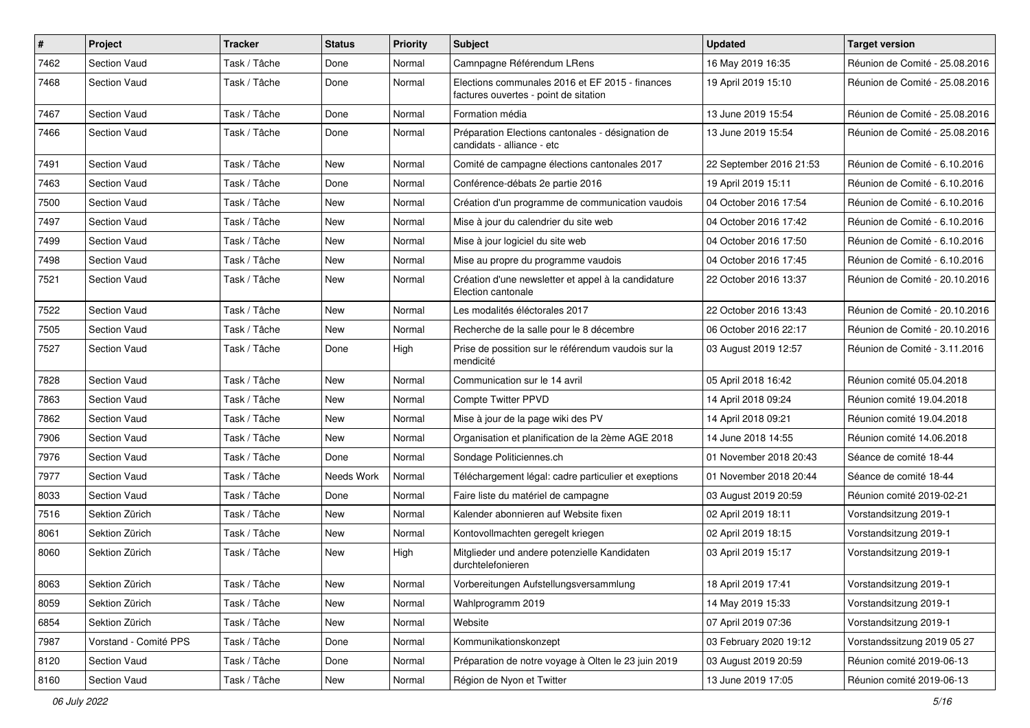| #    | Project               | <b>Tracker</b> | <b>Status</b> | <b>Priority</b> | Subject                                                                                  | <b>Updated</b>          | <b>Target version</b>          |
|------|-----------------------|----------------|---------------|-----------------|------------------------------------------------------------------------------------------|-------------------------|--------------------------------|
| 7462 | <b>Section Vaud</b>   | Task / Tâche   | Done          | Normal          | Camnpagne Référendum LRens                                                               | 16 May 2019 16:35       | Réunion de Comité - 25.08.2016 |
| 7468 | <b>Section Vaud</b>   | Task / Tâche   | Done          | Normal          | Elections communales 2016 et EF 2015 - finances<br>factures ouvertes - point de sitation | 19 April 2019 15:10     | Réunion de Comité - 25.08.2016 |
| 7467 | <b>Section Vaud</b>   | Task / Tâche   | Done          | Normal          | Formation média                                                                          | 13 June 2019 15:54      | Réunion de Comité - 25.08.2016 |
| 7466 | <b>Section Vaud</b>   | Task / Tâche   | Done          | Normal          | Préparation Elections cantonales - désignation de<br>candidats - alliance - etc          | 13 June 2019 15:54      | Réunion de Comité - 25.08.2016 |
| 7491 | <b>Section Vaud</b>   | Task / Tâche   | New           | Normal          | Comité de campagne élections cantonales 2017                                             | 22 September 2016 21:53 | Réunion de Comité - 6.10.2016  |
| 7463 | <b>Section Vaud</b>   | Task / Tâche   | Done          | Normal          | Conférence-débats 2e partie 2016                                                         | 19 April 2019 15:11     | Réunion de Comité - 6.10.2016  |
| 7500 | <b>Section Vaud</b>   | Task / Tâche   | New           | Normal          | Création d'un programme de communication vaudois                                         | 04 October 2016 17:54   | Réunion de Comité - 6.10.2016  |
| 7497 | <b>Section Vaud</b>   | Task / Tâche   | <b>New</b>    | Normal          | Mise à jour du calendrier du site web                                                    | 04 October 2016 17:42   | Réunion de Comité - 6.10.2016  |
| 7499 | <b>Section Vaud</b>   | Task / Tâche   | New           | Normal          | Mise à jour logiciel du site web                                                         | 04 October 2016 17:50   | Réunion de Comité - 6.10.2016  |
| 7498 | <b>Section Vaud</b>   | Task / Tâche   | New           | Normal          | Mise au propre du programme vaudois                                                      | 04 October 2016 17:45   | Réunion de Comité - 6.10.2016  |
| 7521 | Section Vaud          | Task / Tâche   | <b>New</b>    | Normal          | Création d'une newsletter et appel à la candidature<br>Election cantonale                | 22 October 2016 13:37   | Réunion de Comité - 20.10.2016 |
| 7522 | <b>Section Vaud</b>   | Task / Tâche   | <b>New</b>    | Normal          | Les modalités éléctorales 2017                                                           | 22 October 2016 13:43   | Réunion de Comité - 20.10.2016 |
| 7505 | <b>Section Vaud</b>   | Task / Tâche   | New           | Normal          | Recherche de la salle pour le 8 décembre                                                 | 06 October 2016 22:17   | Réunion de Comité - 20.10.2016 |
| 7527 | <b>Section Vaud</b>   | Task / Tâche   | Done          | High            | Prise de possition sur le référendum vaudois sur la<br>mendicité                         | 03 August 2019 12:57    | Réunion de Comité - 3.11.2016  |
| 7828 | Section Vaud          | Task / Tâche   | New           | Normal          | Communication sur le 14 avril                                                            | 05 April 2018 16:42     | Réunion comité 05.04.2018      |
| 7863 | <b>Section Vaud</b>   | Task / Tâche   | New           | Normal          | <b>Compte Twitter PPVD</b>                                                               | 14 April 2018 09:24     | Réunion comité 19.04.2018      |
| 7862 | <b>Section Vaud</b>   | Task / Tâche   | <b>New</b>    | Normal          | Mise à jour de la page wiki des PV                                                       | 14 April 2018 09:21     | Réunion comité 19.04.2018      |
| 7906 | <b>Section Vaud</b>   | Task / Tâche   | New           | Normal          | Organisation et planification de la 2ème AGE 2018                                        | 14 June 2018 14:55      | Réunion comité 14.06.2018      |
| 7976 | <b>Section Vaud</b>   | Task / Tâche   | Done          | Normal          | Sondage Politiciennes.ch                                                                 | 01 November 2018 20:43  | Séance de comité 18-44         |
| 7977 | <b>Section Vaud</b>   | Task / Tâche   | Needs Work    | Normal          | Téléchargement légal: cadre particulier et exeptions                                     | 01 November 2018 20:44  | Séance de comité 18-44         |
| 8033 | <b>Section Vaud</b>   | Task / Tâche   | Done          | Normal          | Faire liste du matériel de campagne                                                      | 03 August 2019 20:59    | Réunion comité 2019-02-21      |
| 7516 | Sektion Zürich        | Task / Tâche   | <b>New</b>    | Normal          | Kalender abonnieren auf Website fixen                                                    | 02 April 2019 18:11     | Vorstandsitzung 2019-1         |
| 8061 | Sektion Zürich        | Task / Tâche   | New           | Normal          | Kontovollmachten geregelt kriegen                                                        | 02 April 2019 18:15     | Vorstandsitzung 2019-1         |
| 8060 | Sektion Zürich        | Task / Tâche   | New           | High            | Mitglieder und andere potenzielle Kandidaten<br>durchtelefonieren                        | 03 April 2019 15:17     | Vorstandsitzung 2019-1         |
| 8063 | Sektion Zürich        | Task / Tâche   | New           | Normal          | Vorbereitungen Aufstellungsversammlung                                                   | 18 April 2019 17:41     | Vorstandsitzung 2019-1         |
| 8059 | Sektion Zürich        | Task / Tâche   | New           | Normal          | Wahlprogramm 2019                                                                        | 14 May 2019 15:33       | Vorstandsitzung 2019-1         |
| 6854 | Sektion Zürich        | Task / Tâche   | New           | Normal          | Website                                                                                  | 07 April 2019 07:36     | Vorstandsitzung 2019-1         |
| 7987 | Vorstand - Comité PPS | Task / Tâche   | Done          | Normal          | Kommunikationskonzept                                                                    | 03 February 2020 19:12  | Vorstandssitzung 2019 05 27    |
| 8120 | Section Vaud          | Task / Tâche   | Done          | Normal          | Préparation de notre voyage à Olten le 23 juin 2019                                      | 03 August 2019 20:59    | Réunion comité 2019-06-13      |
| 8160 | Section Vaud          | Task / Tâche   | New           | Normal          | Région de Nyon et Twitter                                                                | 13 June 2019 17:05      | Réunion comité 2019-06-13      |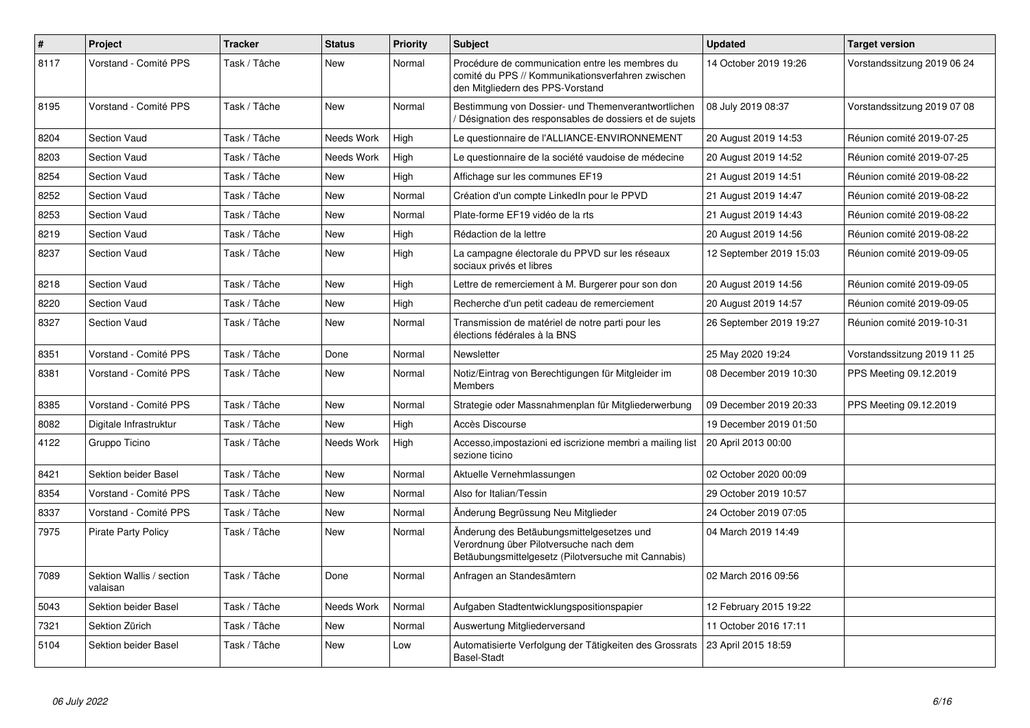| $\#$ | Project                              | <b>Tracker</b> | <b>Status</b> | <b>Priority</b> | <b>Subject</b>                                                                                                                             | <b>Updated</b>          | <b>Target version</b>       |
|------|--------------------------------------|----------------|---------------|-----------------|--------------------------------------------------------------------------------------------------------------------------------------------|-------------------------|-----------------------------|
| 8117 | Vorstand - Comité PPS                | Task / Tâche   | <b>New</b>    | Normal          | Procédure de communication entre les membres du<br>comité du PPS // Kommunikationsverfahren zwischen<br>den Mitgliedern des PPS-Vorstand   | 14 October 2019 19:26   | Vorstandssitzung 2019 06 24 |
| 8195 | Vorstand - Comité PPS                | Task / Tâche   | <b>New</b>    | Normal          | Bestimmung von Dossier- und Themenverantwortlichen<br>Désignation des responsables de dossiers et de sujets                                | 08 July 2019 08:37      | Vorstandssitzung 2019 07 08 |
| 8204 | Section Vaud                         | Task / Tâche   | Needs Work    | High            | Le questionnaire de l'ALLIANCE-ENVIRONNEMENT                                                                                               | 20 August 2019 14:53    | Réunion comité 2019-07-25   |
| 8203 | <b>Section Vaud</b>                  | Task / Tâche   | Needs Work    | High            | Le questionnaire de la société vaudoise de médecine                                                                                        | 20 August 2019 14:52    | Réunion comité 2019-07-25   |
| 8254 | Section Vaud                         | Task / Tâche   | <b>New</b>    | High            | Affichage sur les communes EF19                                                                                                            | 21 August 2019 14:51    | Réunion comité 2019-08-22   |
| 8252 | <b>Section Vaud</b>                  | Task / Tâche   | New           | Normal          | Création d'un compte LinkedIn pour le PPVD                                                                                                 | 21 August 2019 14:47    | Réunion comité 2019-08-22   |
| 8253 | Section Vaud                         | Task / Tâche   | New           | Normal          | Plate-forme EF19 vidéo de la rts                                                                                                           | 21 August 2019 14:43    | Réunion comité 2019-08-22   |
| 8219 | <b>Section Vaud</b>                  | Task / Tâche   | <b>New</b>    | High            | Rédaction de la lettre                                                                                                                     | 20 August 2019 14:56    | Réunion comité 2019-08-22   |
| 8237 | <b>Section Vaud</b>                  | Task / Tâche   | <b>New</b>    | High            | La campagne électorale du PPVD sur les réseaux<br>sociaux privés et libres                                                                 | 12 September 2019 15:03 | Réunion comité 2019-09-05   |
| 8218 | <b>Section Vaud</b>                  | Task / Tâche   | <b>New</b>    | High            | Lettre de remerciement à M. Burgerer pour son don                                                                                          | 20 August 2019 14:56    | Réunion comité 2019-09-05   |
| 8220 | <b>Section Vaud</b>                  | Task / Tâche   | <b>New</b>    | High            | Recherche d'un petit cadeau de remerciement                                                                                                | 20 August 2019 14:57    | Réunion comité 2019-09-05   |
| 8327 | <b>Section Vaud</b>                  | Task / Tâche   | New           | Normal          | Transmission de matériel de notre parti pour les<br>élections fédérales à la BNS                                                           | 26 September 2019 19:27 | Réunion comité 2019-10-31   |
| 8351 | Vorstand - Comité PPS                | Task / Tâche   | Done          | Normal          | Newsletter                                                                                                                                 | 25 May 2020 19:24       | Vorstandssitzung 2019 11 25 |
| 8381 | Vorstand - Comité PPS                | Task / Tâche   | New           | Normal          | Notiz/Eintrag von Berechtigungen für Mitgleider im<br><b>Members</b>                                                                       | 08 December 2019 10:30  | PPS Meeting 09.12.2019      |
| 8385 | Vorstand - Comité PPS                | Task / Tâche   | <b>New</b>    | Normal          | Strategie oder Massnahmenplan für Mitgliederwerbung                                                                                        | 09 December 2019 20:33  | PPS Meeting 09.12.2019      |
| 8082 | Digitale Infrastruktur               | Task / Tâche   | New           | High            | Accès Discourse                                                                                                                            | 19 December 2019 01:50  |                             |
| 4122 | Gruppo Ticino                        | Task / Tâche   | Needs Work    | High            | Accesso, impostazioni ed iscrizione membri a mailing list<br>sezione ticino                                                                | 20 April 2013 00:00     |                             |
| 8421 | Sektion beider Basel                 | Task / Tâche   | New           | Normal          | Aktuelle Vernehmlassungen                                                                                                                  | 02 October 2020 00:09   |                             |
| 8354 | Vorstand - Comité PPS                | Task / Tâche   | <b>New</b>    | Normal          | Also for Italian/Tessin                                                                                                                    | 29 October 2019 10:57   |                             |
| 8337 | Vorstand - Comité PPS                | Task / Tâche   | <b>New</b>    | Normal          | Änderung Begrüssung Neu Mitglieder                                                                                                         | 24 October 2019 07:05   |                             |
| 7975 | <b>Pirate Party Policy</b>           | Task / Tâche   | <b>New</b>    | Normal          | Änderung des Betäubungsmittelgesetzes und<br>Verordnung über Pilotversuche nach dem<br>Betäubungsmittelgesetz (Pilotversuche mit Cannabis) | 04 March 2019 14:49     |                             |
| 7089 | Sektion Wallis / section<br>valaisan | Task / Tâche   | Done          | Normal          | Anfragen an Standesämtern                                                                                                                  | 02 March 2016 09:56     |                             |
| 5043 | Sektion beider Basel                 | Task / Tâche   | Needs Work    | Normal          | Aufgaben Stadtentwicklungspositionspapier                                                                                                  | 12 February 2015 19:22  |                             |
| 7321 | Sektion Zürich                       | Task / Tâche   | New           | Normal          | Auswertung Mitgliederversand                                                                                                               | 11 October 2016 17:11   |                             |
| 5104 | Sektion beider Basel                 | Task / Tâche   | New           | Low             | Automatisierte Verfolgung der Tätigkeiten des Grossrats<br><b>Basel-Stadt</b>                                                              | 23 April 2015 18:59     |                             |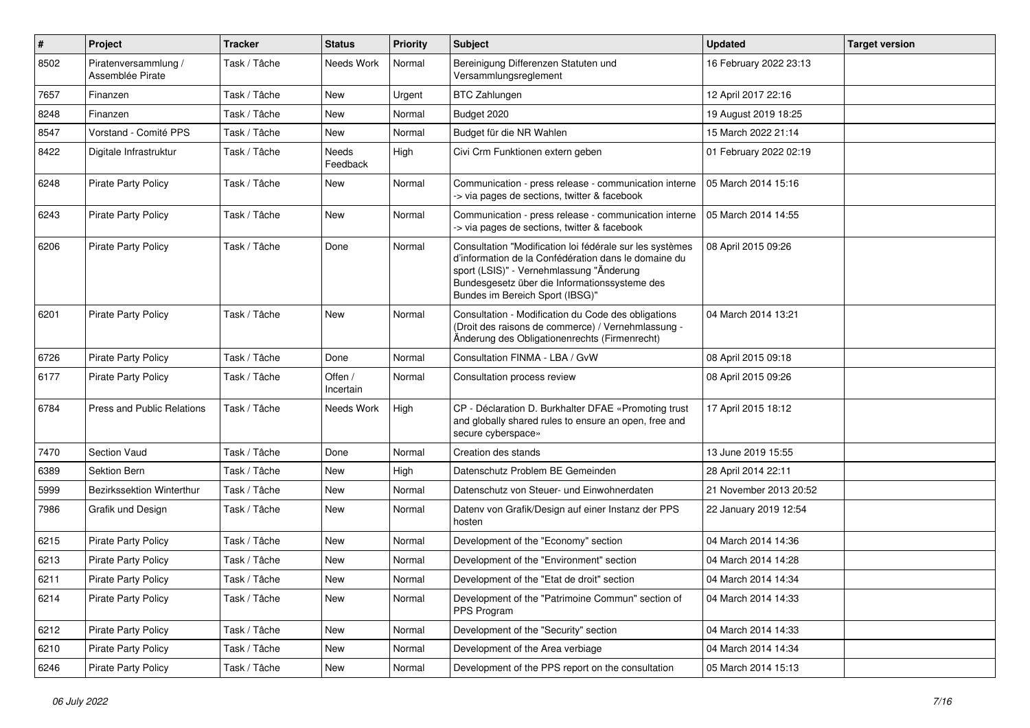| #    | Project                                  | <b>Tracker</b> | <b>Status</b>        | <b>Priority</b> | <b>Subject</b>                                                                                                                                                                                                                                   | <b>Updated</b>         | <b>Target version</b> |
|------|------------------------------------------|----------------|----------------------|-----------------|--------------------------------------------------------------------------------------------------------------------------------------------------------------------------------------------------------------------------------------------------|------------------------|-----------------------|
| 8502 | Piratenversammlung /<br>Assemblée Pirate | Task / Tâche   | Needs Work           | Normal          | Bereinigung Differenzen Statuten und<br>Versammlungsreglement                                                                                                                                                                                    | 16 February 2022 23:13 |                       |
| 7657 | Finanzen                                 | Task / Tâche   | New                  | Urgent          | <b>BTC Zahlungen</b>                                                                                                                                                                                                                             | 12 April 2017 22:16    |                       |
| 8248 | Finanzen                                 | Task / Tâche   | <b>New</b>           | Normal          | Budget 2020                                                                                                                                                                                                                                      | 19 August 2019 18:25   |                       |
| 8547 | Vorstand - Comité PPS                    | Task / Tâche   | <b>New</b>           | Normal          | Budget für die NR Wahlen                                                                                                                                                                                                                         | 15 March 2022 21:14    |                       |
| 8422 | Digitale Infrastruktur                   | Task / Tâche   | Needs<br>Feedback    | High            | Civi Crm Funktionen extern geben                                                                                                                                                                                                                 | 01 February 2022 02:19 |                       |
| 6248 | <b>Pirate Party Policy</b>               | Task / Tâche   | New                  | Normal          | Communication - press release - communication interne<br>-> via pages de sections, twitter & facebook                                                                                                                                            | 05 March 2014 15:16    |                       |
| 6243 | <b>Pirate Party Policy</b>               | Task / Tâche   | New                  | Normal          | Communication - press release - communication interne<br>-> via pages de sections, twitter & facebook                                                                                                                                            | 05 March 2014 14:55    |                       |
| 6206 | <b>Pirate Party Policy</b>               | Task / Tâche   | Done                 | Normal          | Consultation "Modification loi fédérale sur les systèmes<br>d'information de la Confédération dans le domaine du<br>sport (LSIS)" - Vernehmlassung "Änderung<br>Bundesgesetz über die Informationssysteme des<br>Bundes im Bereich Sport (IBSG)" | 08 April 2015 09:26    |                       |
| 6201 | <b>Pirate Party Policy</b>               | Task / Tâche   | <b>New</b>           | Normal          | Consultation - Modification du Code des obligations<br>(Droit des raisons de commerce) / Vernehmlassung -<br>Änderung des Obligationenrechts (Firmenrecht)                                                                                       | 04 March 2014 13:21    |                       |
| 6726 | <b>Pirate Party Policy</b>               | Task / Tâche   | Done                 | Normal          | Consultation FINMA - LBA / GvW                                                                                                                                                                                                                   | 08 April 2015 09:18    |                       |
| 6177 | <b>Pirate Party Policy</b>               | Task / Tâche   | Offen /<br>Incertain | Normal          | Consultation process review                                                                                                                                                                                                                      | 08 April 2015 09:26    |                       |
| 6784 | Press and Public Relations               | Task / Tâche   | Needs Work           | High            | CP - Déclaration D. Burkhalter DFAE «Promoting trust<br>and globally shared rules to ensure an open, free and<br>secure cyberspace»                                                                                                              | 17 April 2015 18:12    |                       |
| 7470 | Section Vaud                             | Task / Tâche   | Done                 | Normal          | Creation des stands                                                                                                                                                                                                                              | 13 June 2019 15:55     |                       |
| 6389 | Sektion Bern                             | Task / Tâche   | <b>New</b>           | High            | Datenschutz Problem BE Gemeinden                                                                                                                                                                                                                 | 28 April 2014 22:11    |                       |
| 5999 | Bezirkssektion Winterthur                | Task / Tâche   | <b>New</b>           | Normal          | Datenschutz von Steuer- und Einwohnerdaten                                                                                                                                                                                                       | 21 November 2013 20:52 |                       |
| 7986 | Grafik und Design                        | Task / Tâche   | <b>New</b>           | Normal          | Datenv von Grafik/Design auf einer Instanz der PPS<br>hosten                                                                                                                                                                                     | 22 January 2019 12:54  |                       |
| 6215 | <b>Pirate Party Policy</b>               | Task / Tâche   | <b>New</b>           | Normal          | Development of the "Economy" section                                                                                                                                                                                                             | 04 March 2014 14:36    |                       |
| 6213 | Pirate Party Policy                      | Task / Tâche   | <b>New</b>           | Normal          | Development of the "Environment" section                                                                                                                                                                                                         | 04 March 2014 14:28    |                       |
| 6211 | Pirate Party Policy                      | Task / Tâche   | New                  | Normal          | Development of the "Etat de droit" section                                                                                                                                                                                                       | 04 March 2014 14:34    |                       |
| 6214 | <b>Pirate Party Policy</b>               | Task / Tâche   | New                  | Normal          | Development of the "Patrimoine Commun" section of<br>PPS Program                                                                                                                                                                                 | 04 March 2014 14:33    |                       |
| 6212 | Pirate Party Policy                      | Task / Tâche   | New                  | Normal          | Development of the "Security" section                                                                                                                                                                                                            | 04 March 2014 14:33    |                       |
| 6210 | <b>Pirate Party Policy</b>               | Task / Tâche   | New                  | Normal          | Development of the Area verbiage                                                                                                                                                                                                                 | 04 March 2014 14:34    |                       |
| 6246 | Pirate Party Policy                      | Task / Tâche   | New                  | Normal          | Development of the PPS report on the consultation                                                                                                                                                                                                | 05 March 2014 15:13    |                       |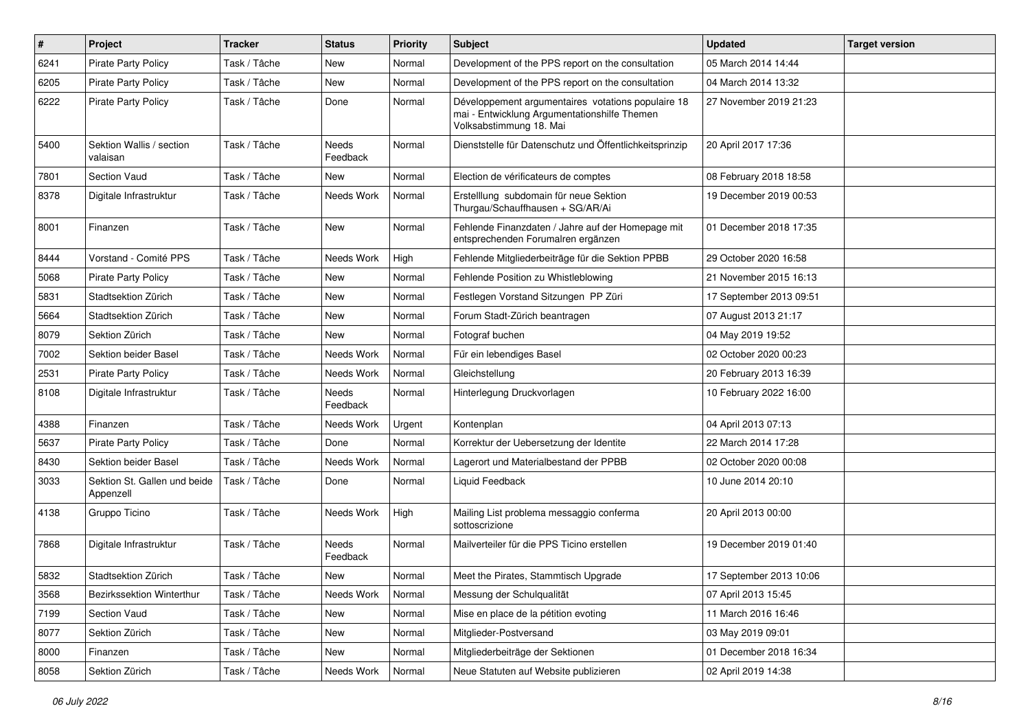| $\sharp$ | Project                                   | <b>Tracker</b> | <b>Status</b>     | <b>Priority</b> | Subject                                                                                                                       | <b>Updated</b>          | <b>Target version</b> |
|----------|-------------------------------------------|----------------|-------------------|-----------------|-------------------------------------------------------------------------------------------------------------------------------|-------------------------|-----------------------|
| 6241     | <b>Pirate Party Policy</b>                | Task / Tâche   | <b>New</b>        | Normal          | Development of the PPS report on the consultation                                                                             | 05 March 2014 14:44     |                       |
| 6205     | <b>Pirate Party Policy</b>                | Task / Tâche   | New               | Normal          | Development of the PPS report on the consultation                                                                             | 04 March 2014 13:32     |                       |
| 6222     | Pirate Party Policy                       | Task / Tâche   | Done              | Normal          | Développement argumentaires votations populaire 18<br>mai - Entwicklung Argumentationshilfe Themen<br>Volksabstimmung 18. Mai | 27 November 2019 21:23  |                       |
| 5400     | Sektion Wallis / section<br>valaisan      | Task / Tâche   | Needs<br>Feedback | Normal          | Dienststelle für Datenschutz und Öffentlichkeitsprinzip                                                                       | 20 April 2017 17:36     |                       |
| 7801     | Section Vaud                              | Task / Tâche   | <b>New</b>        | Normal          | Election de vérificateurs de comptes                                                                                          | 08 February 2018 18:58  |                       |
| 8378     | Digitale Infrastruktur                    | Task / Tâche   | Needs Work        | Normal          | Erstelllung subdomain für neue Sektion<br>Thurgau/Schauffhausen + SG/AR/Ai                                                    | 19 December 2019 00:53  |                       |
| 8001     | Finanzen                                  | Task / Tâche   | New               | Normal          | Fehlende Finanzdaten / Jahre auf der Homepage mit<br>entsprechenden Forumalren ergänzen                                       | 01 December 2018 17:35  |                       |
| 8444     | Vorstand - Comité PPS                     | Task / Tâche   | Needs Work        | High            | Fehlende Mitgliederbeiträge für die Sektion PPBB                                                                              | 29 October 2020 16:58   |                       |
| 5068     | <b>Pirate Party Policy</b>                | Task / Tâche   | New               | Normal          | Fehlende Position zu Whistleblowing                                                                                           | 21 November 2015 16:13  |                       |
| 5831     | Stadtsektion Zürich                       | Task / Tâche   | <b>New</b>        | Normal          | Festlegen Vorstand Sitzungen PP Züri                                                                                          | 17 September 2013 09:51 |                       |
| 5664     | Stadtsektion Zürich                       | Task / Tâche   | <b>New</b>        | Normal          | Forum Stadt-Zürich beantragen                                                                                                 | 07 August 2013 21:17    |                       |
| 8079     | Sektion Zürich                            | Task / Tâche   | New               | Normal          | Fotograf buchen                                                                                                               | 04 May 2019 19:52       |                       |
| 7002     | Sektion beider Basel                      | Task / Tâche   | Needs Work        | Normal          | Für ein lebendiges Basel                                                                                                      | 02 October 2020 00:23   |                       |
| 2531     | <b>Pirate Party Policy</b>                | Task / Tâche   | Needs Work        | Normal          | Gleichstellung                                                                                                                | 20 February 2013 16:39  |                       |
| 8108     | Digitale Infrastruktur                    | Task / Tâche   | Needs<br>Feedback | Normal          | Hinterlegung Druckvorlagen                                                                                                    | 10 February 2022 16:00  |                       |
| 4388     | Finanzen                                  | Task / Tâche   | Needs Work        | Urgent          | Kontenplan                                                                                                                    | 04 April 2013 07:13     |                       |
| 5637     | <b>Pirate Party Policy</b>                | Task / Tâche   | Done              | Normal          | Korrektur der Uebersetzung der Identite                                                                                       | 22 March 2014 17:28     |                       |
| 8430     | Sektion beider Basel                      | Task / Tâche   | Needs Work        | Normal          | Lagerort und Materialbestand der PPBB                                                                                         | 02 October 2020 00:08   |                       |
| 3033     | Sektion St. Gallen und beide<br>Appenzell | Task / Tâche   | Done              | Normal          | Liquid Feedback                                                                                                               | 10 June 2014 20:10      |                       |
| 4138     | Gruppo Ticino                             | Task / Tâche   | Needs Work        | High            | Mailing List problema messaggio conferma<br>sottoscrizione                                                                    | 20 April 2013 00:00     |                       |
| 7868     | Digitale Infrastruktur                    | Task / Tâche   | Needs<br>Feedback | Normal          | Mailverteiler für die PPS Ticino erstellen                                                                                    | 19 December 2019 01:40  |                       |
| 5832     | Stadtsektion Zürich                       | Task / Tâche   | New               | Normal          | Meet the Pirates, Stammtisch Upgrade                                                                                          | 17 September 2013 10:06 |                       |
| 3568     | Bezirkssektion Winterthur                 | Task / Tâche   | Needs Work        | Normal          | Messung der Schulqualität                                                                                                     | 07 April 2013 15:45     |                       |
| 7199     | Section Vaud                              | Task / Tâche   | New               | Normal          | Mise en place de la pétition evoting                                                                                          | 11 March 2016 16:46     |                       |
| 8077     | Sektion Zürich                            | Task / Tâche   | New               | Normal          | Mitglieder-Postversand                                                                                                        | 03 May 2019 09:01       |                       |
| 8000     | Finanzen                                  | Task / Tâche   | New               | Normal          | Mitgliederbeiträge der Sektionen                                                                                              | 01 December 2018 16:34  |                       |
| 8058     | Sektion Zürich                            | Task / Tâche   | Needs Work        | Normal          | Neue Statuten auf Website publizieren                                                                                         | 02 April 2019 14:38     |                       |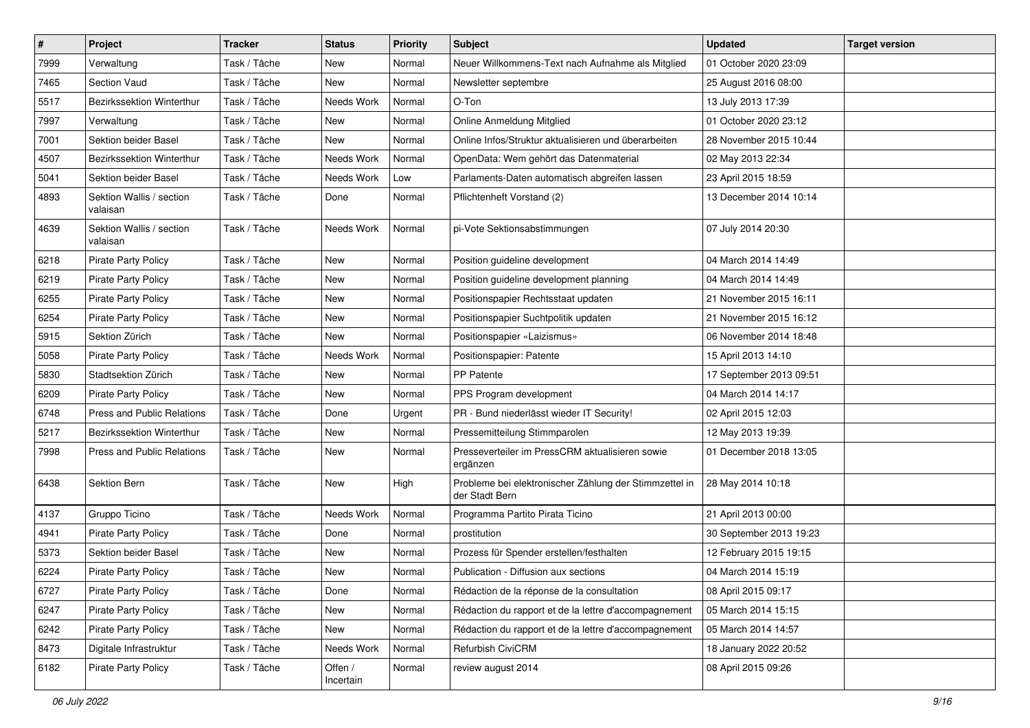| $\pmb{\#}$ | Project                              | <b>Tracker</b> | <b>Status</b>        | <b>Priority</b> | Subject                                                                  | <b>Updated</b>          | <b>Target version</b> |
|------------|--------------------------------------|----------------|----------------------|-----------------|--------------------------------------------------------------------------|-------------------------|-----------------------|
| 7999       | Verwaltung                           | Task / Tâche   | New                  | Normal          | Neuer Willkommens-Text nach Aufnahme als Mitglied                        | 01 October 2020 23:09   |                       |
| 7465       | <b>Section Vaud</b>                  | Task / Tâche   | <b>New</b>           | Normal          | Newsletter septembre                                                     | 25 August 2016 08:00    |                       |
| 5517       | Bezirkssektion Winterthur            | Task / Tâche   | Needs Work           | Normal          | O-Ton                                                                    | 13 July 2013 17:39      |                       |
| 7997       | Verwaltung                           | Task / Tâche   | New                  | Normal          | Online Anmeldung Mitglied                                                | 01 October 2020 23:12   |                       |
| 7001       | Sektion beider Basel                 | Task / Tâche   | <b>New</b>           | Normal          | Online Infos/Struktur aktualisieren und überarbeiten                     | 28 November 2015 10:44  |                       |
| 4507       | Bezirkssektion Winterthur            | Task / Tâche   | Needs Work           | Normal          | OpenData: Wem gehört das Datenmaterial                                   | 02 May 2013 22:34       |                       |
| 5041       | Sektion beider Basel                 | Task / Tâche   | Needs Work           | Low             | Parlaments-Daten automatisch abgreifen lassen                            | 23 April 2015 18:59     |                       |
| 4893       | Sektion Wallis / section<br>valaisan | Task / Tâche   | Done                 | Normal          | Pflichtenheft Vorstand (2)                                               | 13 December 2014 10:14  |                       |
| 4639       | Sektion Wallis / section<br>valaisan | Task / Tâche   | Needs Work           | Normal          | pi-Vote Sektionsabstimmungen                                             | 07 July 2014 20:30      |                       |
| 6218       | Pirate Party Policy                  | Task / Tâche   | <b>New</b>           | Normal          | Position guideline development                                           | 04 March 2014 14:49     |                       |
| 6219       | <b>Pirate Party Policy</b>           | Task / Tâche   | <b>New</b>           | Normal          | Position guideline development planning                                  | 04 March 2014 14:49     |                       |
| 6255       | <b>Pirate Party Policy</b>           | Task / Tâche   | New                  | Normal          | Positionspapier Rechtsstaat updaten                                      | 21 November 2015 16:11  |                       |
| 6254       | <b>Pirate Party Policy</b>           | Task / Tâche   | New                  | Normal          | Positionspapier Suchtpolitik updaten                                     | 21 November 2015 16:12  |                       |
| 5915       | Sektion Zürich                       | Task / Tâche   | <b>New</b>           | Normal          | Positionspapier «Laizismus»                                              | 06 November 2014 18:48  |                       |
| 5058       | Pirate Party Policy                  | Task / Tâche   | Needs Work           | Normal          | Positionspapier: Patente                                                 | 15 April 2013 14:10     |                       |
| 5830       | Stadtsektion Zürich                  | Task / Tâche   | <b>New</b>           | Normal          | PP Patente                                                               | 17 September 2013 09:51 |                       |
| 6209       | <b>Pirate Party Policy</b>           | Task / Tâche   | New                  | Normal          | PPS Program development                                                  | 04 March 2014 14:17     |                       |
| 6748       | Press and Public Relations           | Task / Tâche   | Done                 | Urgent          | PR - Bund niederlässt wieder IT Security!                                | 02 April 2015 12:03     |                       |
| 5217       | Bezirkssektion Winterthur            | Task / Tâche   | <b>New</b>           | Normal          | Pressemitteilung Stimmparolen                                            | 12 May 2013 19:39       |                       |
| 7998       | Press and Public Relations           | Task / Tâche   | New                  | Normal          | Presseverteiler im PressCRM aktualisieren sowie<br>ergänzen              | 01 December 2018 13:05  |                       |
| 6438       | Sektion Bern                         | Task / Tâche   | New                  | High            | Probleme bei elektronischer Zählung der Stimmzettel in<br>der Stadt Bern | 28 May 2014 10:18       |                       |
| 4137       | Gruppo Ticino                        | Task / Tâche   | Needs Work           | Normal          | Programma Partito Pirata Ticino                                          | 21 April 2013 00:00     |                       |
| 4941       | <b>Pirate Party Policy</b>           | Task / Tâche   | Done                 | Normal          | prostitution                                                             | 30 September 2013 19:23 |                       |
| 5373       | Sektion beider Basel                 | Task / Tâche   | New                  | Normal          | Prozess für Spender erstellen/festhalten                                 | 12 February 2015 19:15  |                       |
| 6224       | <b>Pirate Party Policy</b>           | Task / Tâche   | New                  | Normal          | Publication - Diffusion aux sections                                     | 04 March 2014 15:19     |                       |
| 6727       | Pirate Party Policy                  | Task / Tâche   | Done                 | Normal          | Rédaction de la réponse de la consultation                               | 08 April 2015 09:17     |                       |
| 6247       | Pirate Party Policy                  | Task / Tâche   | New                  | Normal          | Rédaction du rapport et de la lettre d'accompagnement                    | 05 March 2014 15:15     |                       |
| 6242       | Pirate Party Policy                  | Task / Tâche   | New                  | Normal          | Rédaction du rapport et de la lettre d'accompagnement                    | 05 March 2014 14:57     |                       |
| 8473       | Digitale Infrastruktur               | Task / Tâche   | Needs Work           | Normal          | Refurbish CiviCRM                                                        | 18 January 2022 20:52   |                       |
| 6182       | Pirate Party Policy                  | Task / Tâche   | Offen /<br>Incertain | Normal          | review august 2014                                                       | 08 April 2015 09:26     |                       |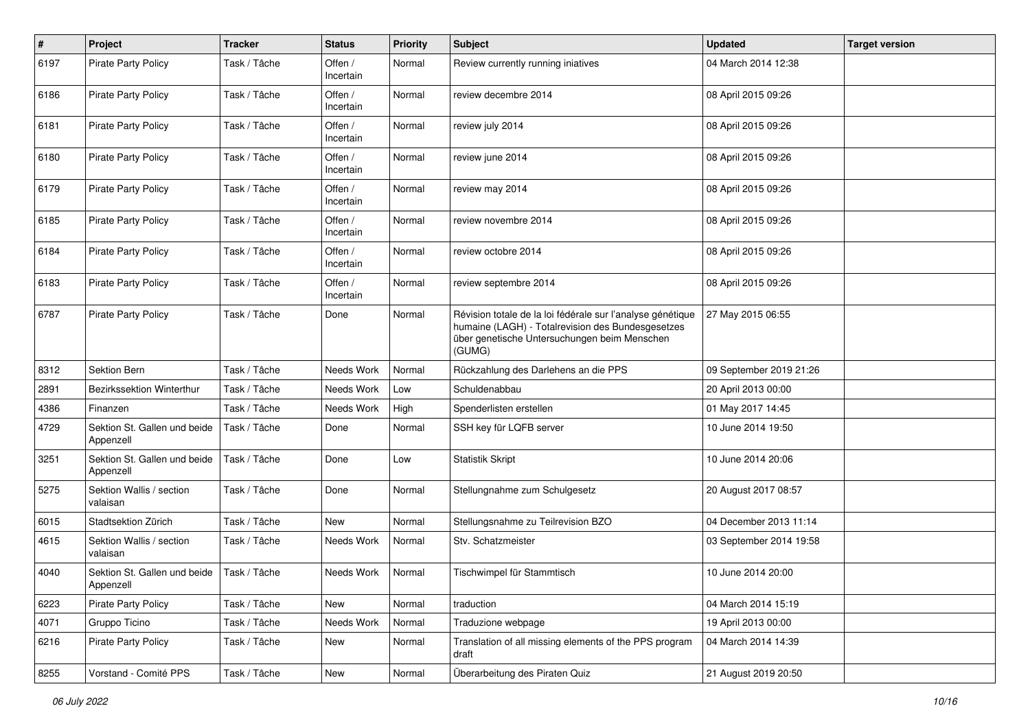| $\#$ | Project                                   | <b>Tracker</b> | <b>Status</b>        | <b>Priority</b> | <b>Subject</b>                                                                                                                                                            | <b>Updated</b>          | <b>Target version</b> |
|------|-------------------------------------------|----------------|----------------------|-----------------|---------------------------------------------------------------------------------------------------------------------------------------------------------------------------|-------------------------|-----------------------|
| 6197 | <b>Pirate Party Policy</b>                | Task / Tâche   | Offen /<br>Incertain | Normal          | Review currently running iniatives                                                                                                                                        | 04 March 2014 12:38     |                       |
| 6186 | <b>Pirate Party Policy</b>                | Task / Tâche   | Offen /<br>Incertain | Normal          | review decembre 2014                                                                                                                                                      | 08 April 2015 09:26     |                       |
| 6181 | <b>Pirate Party Policy</b>                | Task / Tâche   | Offen /<br>Incertain | Normal          | review july 2014                                                                                                                                                          | 08 April 2015 09:26     |                       |
| 6180 | <b>Pirate Party Policy</b>                | Task / Tâche   | Offen /<br>Incertain | Normal          | review june 2014                                                                                                                                                          | 08 April 2015 09:26     |                       |
| 6179 | <b>Pirate Party Policy</b>                | Task / Tâche   | Offen /<br>Incertain | Normal          | review may 2014                                                                                                                                                           | 08 April 2015 09:26     |                       |
| 6185 | <b>Pirate Party Policy</b>                | Task / Tâche   | Offen /<br>Incertain | Normal          | review novembre 2014                                                                                                                                                      | 08 April 2015 09:26     |                       |
| 6184 | Pirate Party Policy                       | Task / Tâche   | Offen /<br>Incertain | Normal          | review octobre 2014                                                                                                                                                       | 08 April 2015 09:26     |                       |
| 6183 | Pirate Party Policy                       | Task / Tâche   | Offen /<br>Incertain | Normal          | review septembre 2014                                                                                                                                                     | 08 April 2015 09:26     |                       |
| 6787 | Pirate Party Policy                       | Task / Tâche   | Done                 | Normal          | Révision totale de la loi fédérale sur l'analyse génétique<br>humaine (LAGH) - Totalrevision des Bundesgesetzes<br>über genetische Untersuchungen beim Menschen<br>(GUMG) | 27 May 2015 06:55       |                       |
| 8312 | <b>Sektion Bern</b>                       | Task / Tâche   | Needs Work           | Normal          | Rückzahlung des Darlehens an die PPS                                                                                                                                      | 09 September 2019 21:26 |                       |
| 2891 | Bezirkssektion Winterthur                 | Task / Tâche   | Needs Work           | Low             | Schuldenabbau                                                                                                                                                             | 20 April 2013 00:00     |                       |
| 4386 | Finanzen                                  | Task / Tâche   | Needs Work           | High            | Spenderlisten erstellen                                                                                                                                                   | 01 May 2017 14:45       |                       |
| 4729 | Sektion St. Gallen und beide<br>Appenzell | Task / Tâche   | Done                 | Normal          | SSH key für LQFB server                                                                                                                                                   | 10 June 2014 19:50      |                       |
| 3251 | Sektion St. Gallen und beide<br>Appenzell | Task / Tâche   | Done                 | Low             | Statistik Skript                                                                                                                                                          | 10 June 2014 20:06      |                       |
| 5275 | Sektion Wallis / section<br>valaisan      | Task / Tâche   | Done                 | Normal          | Stellungnahme zum Schulgesetz                                                                                                                                             | 20 August 2017 08:57    |                       |
| 6015 | Stadtsektion Zürich                       | Task / Tâche   | New                  | Normal          | Stellungsnahme zu Teilrevision BZO                                                                                                                                        | 04 December 2013 11:14  |                       |
| 4615 | Sektion Wallis / section<br>valaisan      | Task / Tâche   | Needs Work           | Normal          | Stv. Schatzmeister                                                                                                                                                        | 03 September 2014 19:58 |                       |
| 4040 | Sektion St. Gallen und beide<br>Appenzell | Task / Tâche   | Needs Work           | Normal          | Tischwimpel für Stammtisch                                                                                                                                                | 10 June 2014 20:00      |                       |
| 6223 | Pirate Party Policy                       | Task / Tâche   | New                  | Normal          | traduction                                                                                                                                                                | 04 March 2014 15:19     |                       |
| 4071 | Gruppo Ticino                             | Task / Tâche   | Needs Work           | Normal          | Traduzione webpage                                                                                                                                                        | 19 April 2013 00:00     |                       |
| 6216 | Pirate Party Policy                       | Task / Tâche   | New                  | Normal          | Translation of all missing elements of the PPS program<br>draft                                                                                                           | 04 March 2014 14:39     |                       |
| 8255 | Vorstand - Comité PPS                     | Task / Tâche   | New                  | Normal          | Überarbeitung des Piraten Quiz                                                                                                                                            | 21 August 2019 20:50    |                       |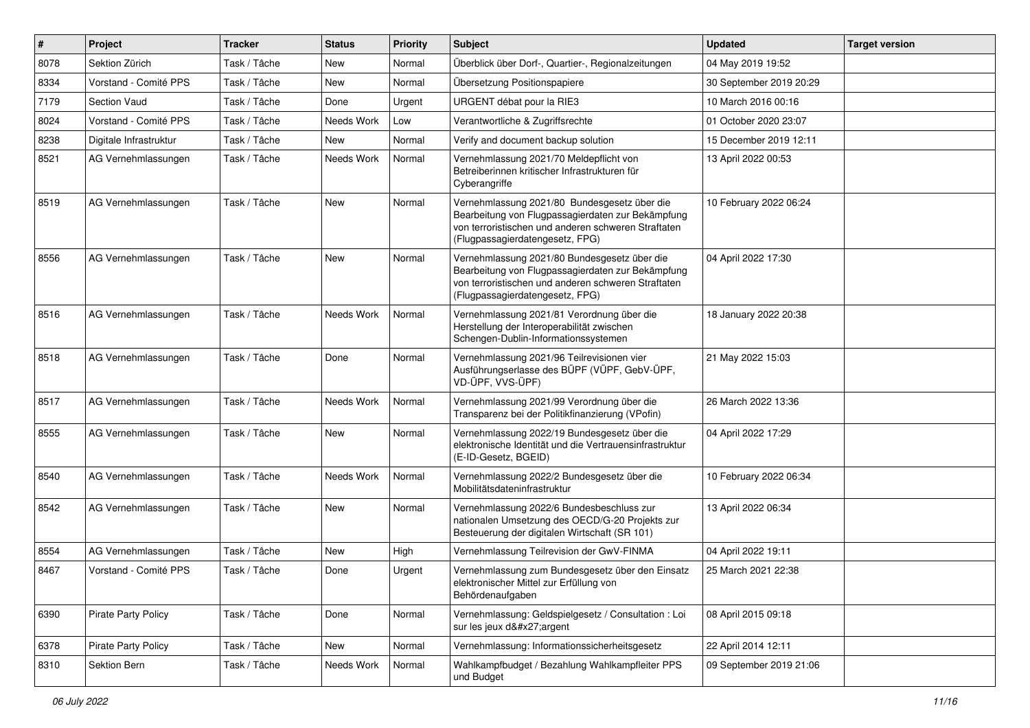| $\vert$ # | Project                    | <b>Tracker</b> | <b>Status</b> | <b>Priority</b> | Subject                                                                                                                                                                                     | <b>Updated</b>          | <b>Target version</b> |
|-----------|----------------------------|----------------|---------------|-----------------|---------------------------------------------------------------------------------------------------------------------------------------------------------------------------------------------|-------------------------|-----------------------|
| 8078      | Sektion Zürich             | Task / Tâche   | New           | Normal          | Überblick über Dorf-, Quartier-, Regionalzeitungen                                                                                                                                          | 04 May 2019 19:52       |                       |
| 8334      | Vorstand - Comité PPS      | Task / Tâche   | <b>New</b>    | Normal          | Übersetzung Positionspapiere                                                                                                                                                                | 30 September 2019 20:29 |                       |
| 7179      | Section Vaud               | Task / Tâche   | Done          | Urgent          | URGENT débat pour la RIE3                                                                                                                                                                   | 10 March 2016 00:16     |                       |
| 8024      | Vorstand - Comité PPS      | Task / Tâche   | Needs Work    | Low             | Verantwortliche & Zugriffsrechte                                                                                                                                                            | 01 October 2020 23:07   |                       |
| 8238      | Digitale Infrastruktur     | Task / Tâche   | New           | Normal          | Verify and document backup solution                                                                                                                                                         | 15 December 2019 12:11  |                       |
| 8521      | AG Vernehmlassungen        | Task / Tâche   | Needs Work    | Normal          | Vernehmlassung 2021/70 Meldepflicht von<br>Betreiberinnen kritischer Infrastrukturen für<br>Cyberangriffe                                                                                   | 13 April 2022 00:53     |                       |
| 8519      | AG Vernehmlassungen        | Task / Tâche   | New           | Normal          | Vernehmlassung 2021/80 Bundesgesetz über die<br>Bearbeitung von Flugpassagierdaten zur Bekämpfung<br>von terroristischen und anderen schweren Straftaten<br>(Flugpassagierdatengesetz, FPG) | 10 February 2022 06:24  |                       |
| 8556      | AG Vernehmlassungen        | Task / Tâche   | <b>New</b>    | Normal          | Vernehmlassung 2021/80 Bundesgesetz über die<br>Bearbeitung von Flugpassagierdaten zur Bekämpfung<br>von terroristischen und anderen schweren Straftaten<br>(Flugpassagierdatengesetz, FPG) | 04 April 2022 17:30     |                       |
| 8516      | AG Vernehmlassungen        | Task / Tâche   | Needs Work    | Normal          | Vernehmlassung 2021/81 Verordnung über die<br>Herstellung der Interoperabilität zwischen<br>Schengen-Dublin-Informationssystemen                                                            | 18 January 2022 20:38   |                       |
| 8518      | AG Vernehmlassungen        | Task / Tâche   | Done          | Normal          | Vernehmlassung 2021/96 Teilrevisionen vier<br>Ausführungserlasse des BÜPF (VÜPF, GebV-ÜPF,<br>VD-ÜPF, VVS-ÜPF)                                                                              | 21 May 2022 15:03       |                       |
| 8517      | AG Vernehmlassungen        | Task / Tâche   | Needs Work    | Normal          | Vernehmlassung 2021/99 Verordnung über die<br>Transparenz bei der Politikfinanzierung (VPofin)                                                                                              | 26 March 2022 13:36     |                       |
| 8555      | AG Vernehmlassungen        | Task / Tâche   | New           | Normal          | Vernehmlassung 2022/19 Bundesgesetz über die<br>elektronische Identität und die Vertrauensinfrastruktur<br>(E-ID-Gesetz, BGEID)                                                             | 04 April 2022 17:29     |                       |
| 8540      | AG Vernehmlassungen        | Task / Tâche   | Needs Work    | Normal          | Vernehmlassung 2022/2 Bundesgesetz über die<br>Mobilitätsdateninfrastruktur                                                                                                                 | 10 February 2022 06:34  |                       |
| 8542      | AG Vernehmlassungen        | Task / Tâche   | <b>New</b>    | Normal          | Vernehmlassung 2022/6 Bundesbeschluss zur<br>nationalen Umsetzung des OECD/G-20 Projekts zur<br>Besteuerung der digitalen Wirtschaft (SR 101)                                               | 13 April 2022 06:34     |                       |
| 8554      | AG Vernehmlassungen        | Task / Tâche   | New           | High            | Vernehmlassung Teilrevision der GwV-FINMA                                                                                                                                                   | 04 April 2022 19:11     |                       |
| 8467      | Vorstand - Comité PPS      | Task / Tâche   | Done          | Urgent          | Vernehmlassung zum Bundesgesetz über den Einsatz<br>elektronischer Mittel zur Erfüllung von<br>Behördenaufgaben                                                                             | 25 March 2021 22:38     |                       |
| 6390      | <b>Pirate Party Policy</b> | Task / Tâche   | Done          | Normal          | Vernehmlassung: Geldspielgesetz / Consultation : Loi<br>sur les jeux d'argent                                                                                                               | 08 April 2015 09:18     |                       |
| 6378      | Pirate Party Policy        | Task / Tâche   | New           | Normal          | Vernehmlassung: Informationssicherheitsgesetz                                                                                                                                               | 22 April 2014 12:11     |                       |
| 8310      | Sektion Bern               | Task / Tâche   | Needs Work    | Normal          | Wahlkampfbudget / Bezahlung Wahlkampfleiter PPS<br>und Budget                                                                                                                               | 09 September 2019 21:06 |                       |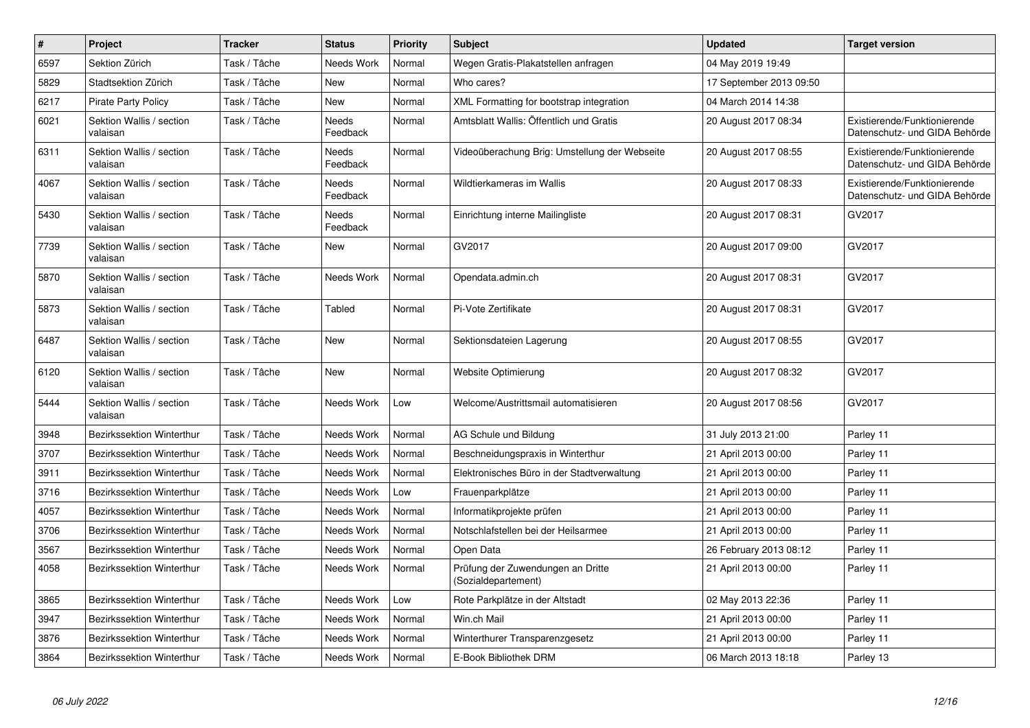| $\vert$ # | Project                              | <b>Tracker</b> | <b>Status</b>     | <b>Priority</b> | <b>Subject</b>                                           | <b>Updated</b>          | <b>Target version</b>                                         |
|-----------|--------------------------------------|----------------|-------------------|-----------------|----------------------------------------------------------|-------------------------|---------------------------------------------------------------|
| 6597      | Sektion Zürich                       | Task / Tâche   | Needs Work        | Normal          | Wegen Gratis-Plakatstellen anfragen                      | 04 May 2019 19:49       |                                                               |
| 5829      | Stadtsektion Zürich                  | Task / Tâche   | <b>New</b>        | Normal          | Who cares?                                               | 17 September 2013 09:50 |                                                               |
| 6217      | <b>Pirate Party Policy</b>           | Task / Tâche   | <b>New</b>        | Normal          | XML Formatting for bootstrap integration                 | 04 March 2014 14:38     |                                                               |
| 6021      | Sektion Wallis / section<br>valaisan | Task / Tâche   | Needs<br>Feedback | Normal          | Amtsblatt Wallis: Öffentlich und Gratis                  | 20 August 2017 08:34    | Existierende/Funktionierende<br>Datenschutz- und GIDA Behörde |
| 6311      | Sektion Wallis / section<br>valaisan | Task / Tâche   | Needs<br>Feedback | Normal          | Videoüberachung Brig: Umstellung der Webseite            | 20 August 2017 08:55    | Existierende/Funktionierende<br>Datenschutz- und GIDA Behörde |
| 4067      | Sektion Wallis / section<br>valaisan | Task / Tâche   | Needs<br>Feedback | Normal          | Wildtierkameras im Wallis                                | 20 August 2017 08:33    | Existierende/Funktionierende<br>Datenschutz- und GIDA Behörde |
| 5430      | Sektion Wallis / section<br>valaisan | Task / Tâche   | Needs<br>Feedback | Normal          | Einrichtung interne Mailingliste                         | 20 August 2017 08:31    | GV2017                                                        |
| 7739      | Sektion Wallis / section<br>valaisan | Task / Tâche   | New               | Normal          | GV2017                                                   | 20 August 2017 09:00    | GV2017                                                        |
| 5870      | Sektion Wallis / section<br>valaisan | Task / Tâche   | Needs Work        | Normal          | Opendata.admin.ch                                        | 20 August 2017 08:31    | GV2017                                                        |
| 5873      | Sektion Wallis / section<br>valaisan | Task / Tâche   | Tabled            | Normal          | Pi-Vote Zertifikate                                      | 20 August 2017 08:31    | GV2017                                                        |
| 6487      | Sektion Wallis / section<br>valaisan | Task / Tâche   | <b>New</b>        | Normal          | Sektionsdateien Lagerung                                 | 20 August 2017 08:55    | GV2017                                                        |
| 6120      | Sektion Wallis / section<br>valaisan | Task / Tâche   | New               | Normal          | <b>Website Optimierung</b>                               | 20 August 2017 08:32    | GV2017                                                        |
| 5444      | Sektion Wallis / section<br>valaisan | Task / Tâche   | Needs Work        | Low             | Welcome/Austrittsmail automatisieren                     | 20 August 2017 08:56    | GV2017                                                        |
| 3948      | Bezirkssektion Winterthur            | Task / Tâche   | Needs Work        | Normal          | AG Schule und Bildung                                    | 31 July 2013 21:00      | Parley 11                                                     |
| 3707      | Bezirkssektion Winterthur            | Task / Tâche   | Needs Work        | Normal          | Beschneidungspraxis in Winterthur                        | 21 April 2013 00:00     | Parley 11                                                     |
| 3911      | <b>Bezirkssektion Winterthur</b>     | Task / Tâche   | Needs Work        | Normal          | Elektronisches Büro in der Stadtverwaltung               | 21 April 2013 00:00     | Parley 11                                                     |
| 3716      | Bezirkssektion Winterthur            | Task / Tâche   | Needs Work        | Low             | Frauenparkplätze                                         | 21 April 2013 00:00     | Parley 11                                                     |
| 4057      | <b>Bezirkssektion Winterthur</b>     | Task / Tâche   | Needs Work        | Normal          | Informatikprojekte prüfen                                | 21 April 2013 00:00     | Parley 11                                                     |
| 3706      | Bezirkssektion Winterthur            | Task / Tâche   | Needs Work        | Normal          | Notschlafstellen bei der Heilsarmee                      | 21 April 2013 00:00     | Parley 11                                                     |
| 3567      | Bezirkssektion Winterthur            | Task / Tâche   | Needs Work        | Normal          | Open Data                                                | 26 February 2013 08:12  | Parley 11                                                     |
| 4058      | Bezirkssektion Winterthur            | Task / Tâche   | Needs Work        | Normal          | Prüfung der Zuwendungen an Dritte<br>(Sozialdepartement) | 21 April 2013 00:00     | Parley 11                                                     |
| 3865      | Bezirkssektion Winterthur            | Task / Tâche   | Needs Work        | Low             | Rote Parkplätze in der Altstadt                          | 02 May 2013 22:36       | Parley 11                                                     |
| 3947      | Bezirkssektion Winterthur            | Task / Tâche   | Needs Work        | Normal          | Win.ch Mail                                              | 21 April 2013 00:00     | Parley 11                                                     |
| 3876      | <b>Bezirkssektion Winterthur</b>     | Task / Tâche   | Needs Work        | Normal          | Winterthurer Transparenzgesetz                           | 21 April 2013 00:00     | Parley 11                                                     |
| 3864      | Bezirkssektion Winterthur            | Task / Tâche   | Needs Work        | Normal          | E-Book Bibliothek DRM                                    | 06 March 2013 18:18     | Parley 13                                                     |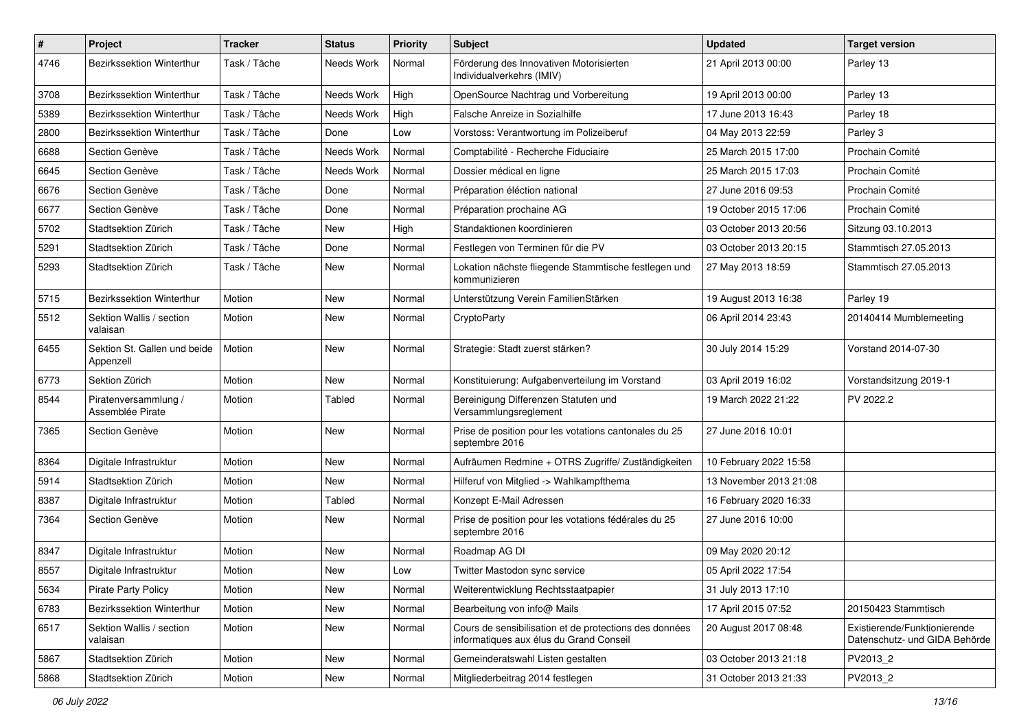| $\sharp$ | Project                                   | <b>Tracker</b> | <b>Status</b> | <b>Priority</b> | Subject                                                                                           | <b>Updated</b>         | <b>Target version</b>                                         |
|----------|-------------------------------------------|----------------|---------------|-----------------|---------------------------------------------------------------------------------------------------|------------------------|---------------------------------------------------------------|
| 4746     | Bezirkssektion Winterthur                 | Task / Tâche   | Needs Work    | Normal          | Förderung des Innovativen Motorisierten<br>Individualverkehrs (IMIV)                              | 21 April 2013 00:00    | Parley 13                                                     |
| 3708     | Bezirkssektion Winterthur                 | Task / Tâche   | Needs Work    | High            | OpenSource Nachtrag und Vorbereitung                                                              | 19 April 2013 00:00    | Parley 13                                                     |
| 5389     | Bezirkssektion Winterthur                 | Task / Tâche   | Needs Work    | High            | Falsche Anreize in Sozialhilfe                                                                    | 17 June 2013 16:43     | Parley 18                                                     |
| 2800     | Bezirkssektion Winterthur                 | Task / Tâche   | Done          | Low             | Vorstoss: Verantwortung im Polizeiberuf                                                           | 04 May 2013 22:59      | Parley 3                                                      |
| 6688     | Section Genève                            | Task / Tâche   | Needs Work    | Normal          | Comptabilité - Recherche Fiduciaire                                                               | 25 March 2015 17:00    | Prochain Comité                                               |
| 6645     | Section Genève                            | Task / Tâche   | Needs Work    | Normal          | Dossier médical en ligne                                                                          | 25 March 2015 17:03    | Prochain Comité                                               |
| 6676     | Section Genève                            | Task / Tâche   | Done          | Normal          | Préparation éléction national                                                                     | 27 June 2016 09:53     | Prochain Comité                                               |
| 6677     | Section Genève                            | Task / Tâche   | Done          | Normal          | Préparation prochaine AG                                                                          | 19 October 2015 17:06  | Prochain Comité                                               |
| 5702     | Stadtsektion Zürich                       | Task / Tâche   | <b>New</b>    | High            | Standaktionen koordinieren                                                                        | 03 October 2013 20:56  | Sitzung 03.10.2013                                            |
| 5291     | Stadtsektion Zürich                       | Task / Tâche   | Done          | Normal          | Festlegen von Terminen für die PV                                                                 | 03 October 2013 20:15  | Stammtisch 27.05.2013                                         |
| 5293     | Stadtsektion Zürich                       | Task / Tâche   | New           | Normal          | Lokation nächste fliegende Stammtische festlegen und<br>kommunizieren                             | 27 May 2013 18:59      | Stammtisch 27.05.2013                                         |
| 5715     | <b>Bezirkssektion Winterthur</b>          | Motion         | <b>New</b>    | Normal          | Unterstützung Verein FamilienStärken                                                              | 19 August 2013 16:38   | Parley 19                                                     |
| 5512     | Sektion Wallis / section<br>valaisan      | Motion         | New           | Normal          | CryptoParty                                                                                       | 06 April 2014 23:43    | 20140414 Mumblemeeting                                        |
| 6455     | Sektion St. Gallen und beide<br>Appenzell | Motion         | New           | Normal          | Strategie: Stadt zuerst stärken?                                                                  | 30 July 2014 15:29     | Vorstand 2014-07-30                                           |
| 6773     | Sektion Zürich                            | Motion         | <b>New</b>    | Normal          | Konstituierung: Aufgabenverteilung im Vorstand                                                    | 03 April 2019 16:02    | Vorstandsitzung 2019-1                                        |
| 8544     | Piratenversammlung /<br>Assemblée Pirate  | Motion         | Tabled        | Normal          | Bereinigung Differenzen Statuten und<br>Versammlungsreglement                                     | 19 March 2022 21:22    | PV 2022.2                                                     |
| 7365     | Section Genève                            | Motion         | New           | Normal          | Prise de position pour les votations cantonales du 25<br>septembre 2016                           | 27 June 2016 10:01     |                                                               |
| 8364     | Digitale Infrastruktur                    | Motion         | <b>New</b>    | Normal          | Aufräumen Redmine + OTRS Zugriffe/Zuständigkeiten                                                 | 10 February 2022 15:58 |                                                               |
| 5914     | Stadtsektion Zürich                       | Motion         | New           | Normal          | Hilferuf von Mitglied -> Wahlkampfthema                                                           | 13 November 2013 21:08 |                                                               |
| 8387     | Digitale Infrastruktur                    | Motion         | Tabled        | Normal          | Konzept E-Mail Adressen                                                                           | 16 February 2020 16:33 |                                                               |
| 7364     | Section Genève                            | Motion         | New           | Normal          | Prise de position pour les votations fédérales du 25<br>septembre 2016                            | 27 June 2016 10:00     |                                                               |
| 8347     | Digitale Infrastruktur                    | Motion         | <b>New</b>    | Normal          | Roadmap AG DI                                                                                     | 09 May 2020 20:12      |                                                               |
| 8557     | Digitale Infrastruktur                    | Motion         | New           | Low             | Twitter Mastodon sync service                                                                     | 05 April 2022 17:54    |                                                               |
| 5634     | <b>Pirate Party Policy</b>                | Motion         | New           | Normal          | Weiterentwicklung Rechtsstaatpapier                                                               | 31 July 2013 17:10     |                                                               |
| 6783     | <b>Bezirkssektion Winterthur</b>          | Motion         | New           | Normal          | Bearbeitung von info@ Mails                                                                       | 17 April 2015 07:52    | 20150423 Stammtisch                                           |
| 6517     | Sektion Wallis / section<br>valaisan      | Motion         | New           | Normal          | Cours de sensibilisation et de protections des données<br>informatiques aux élus du Grand Conseil | 20 August 2017 08:48   | Existierende/Funktionierende<br>Datenschutz- und GIDA Behörde |
| 5867     | Stadtsektion Zürich                       | Motion         | New           | Normal          | Gemeinderatswahl Listen gestalten                                                                 | 03 October 2013 21:18  | PV2013 2                                                      |
| 5868     | Stadtsektion Zürich                       | Motion         | New           | Normal          | Mitgliederbeitrag 2014 festlegen                                                                  | 31 October 2013 21:33  | PV2013_2                                                      |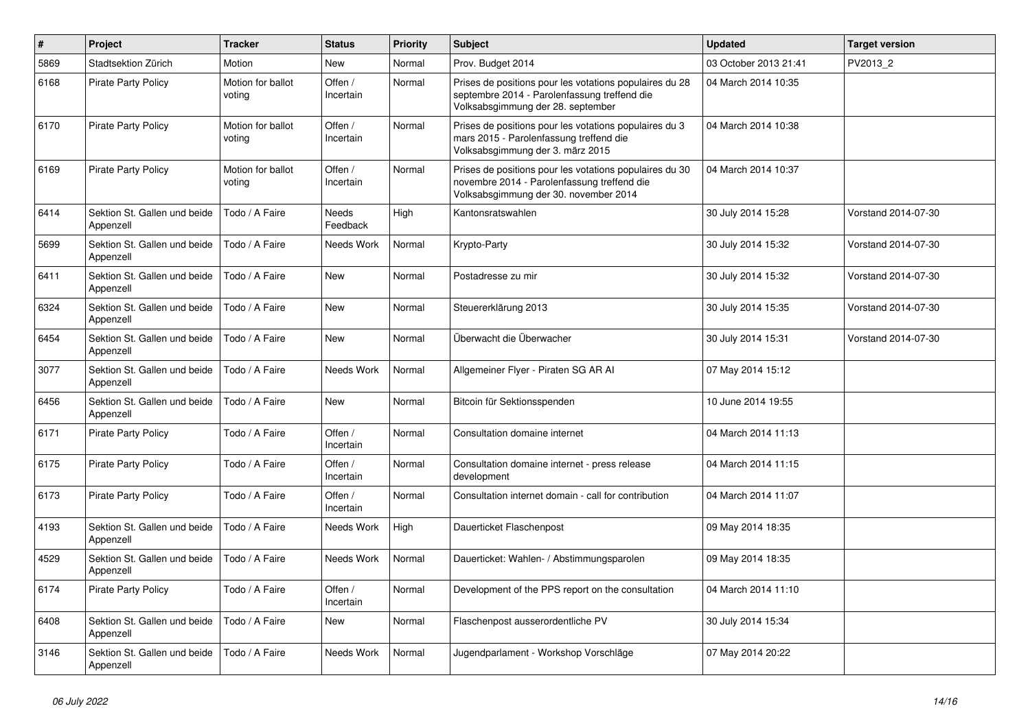| $\sharp$ | Project                                   | <b>Tracker</b>              | <b>Status</b>            | <b>Priority</b> | <b>Subject</b>                                                                                                                                  | <b>Updated</b>        | <b>Target version</b> |
|----------|-------------------------------------------|-----------------------------|--------------------------|-----------------|-------------------------------------------------------------------------------------------------------------------------------------------------|-----------------------|-----------------------|
| 5869     | Stadtsektion Zürich                       | Motion                      | New                      | Normal          | Prov. Budget 2014                                                                                                                               | 03 October 2013 21:41 | PV2013_2              |
| 6168     | <b>Pirate Party Policy</b>                | Motion for ballot<br>voting | Offen /<br>Incertain     | Normal          | Prises de positions pour les votations populaires du 28<br>septembre 2014 - Parolenfassung treffend die<br>Volksabsgimmung der 28. september    | 04 March 2014 10:35   |                       |
| 6170     | <b>Pirate Party Policy</b>                | Motion for ballot<br>voting | Offen /<br>Incertain     | Normal          | Prises de positions pour les votations populaires du 3<br>mars 2015 - Parolenfassung treffend die<br>Volksabsgimmung der 3. märz 2015           | 04 March 2014 10:38   |                       |
| 6169     | <b>Pirate Party Policy</b>                | Motion for ballot<br>voting | Offen /<br>Incertain     | Normal          | Prises de positions pour les votations populaires du 30<br>novembre 2014 - Parolenfassung treffend die<br>Volksabsgimmung der 30. november 2014 | 04 March 2014 10:37   |                       |
| 6414     | Sektion St. Gallen und beide<br>Appenzell | Todo / A Faire              | <b>Needs</b><br>Feedback | High            | Kantonsratswahlen                                                                                                                               | 30 July 2014 15:28    | Vorstand 2014-07-30   |
| 5699     | Sektion St. Gallen und beide<br>Appenzell | Todo / A Faire              | Needs Work               | Normal          | Krypto-Party                                                                                                                                    | 30 July 2014 15:32    | Vorstand 2014-07-30   |
| 6411     | Sektion St. Gallen und beide<br>Appenzell | Todo / A Faire              | <b>New</b>               | Normal          | Postadresse zu mir                                                                                                                              | 30 July 2014 15:32    | Vorstand 2014-07-30   |
| 6324     | Sektion St. Gallen und beide<br>Appenzell | Todo / A Faire              | <b>New</b>               | Normal          | Steuererklärung 2013                                                                                                                            | 30 July 2014 15:35    | Vorstand 2014-07-30   |
| 6454     | Sektion St. Gallen und beide<br>Appenzell | Todo / A Faire              | <b>New</b>               | Normal          | Überwacht die Überwacher                                                                                                                        | 30 July 2014 15:31    | Vorstand 2014-07-30   |
| 3077     | Sektion St. Gallen und beide<br>Appenzell | Todo / A Faire              | Needs Work               | Normal          | Allgemeiner Flyer - Piraten SG AR Al                                                                                                            | 07 May 2014 15:12     |                       |
| 6456     | Sektion St. Gallen und beide<br>Appenzell | Todo / A Faire              | New                      | Normal          | Bitcoin für Sektionsspenden                                                                                                                     | 10 June 2014 19:55    |                       |
| 6171     | <b>Pirate Party Policy</b>                | Todo / A Faire              | Offen /<br>Incertain     | Normal          | Consultation domaine internet                                                                                                                   | 04 March 2014 11:13   |                       |
| 6175     | Pirate Party Policy                       | Todo / A Faire              | Offen /<br>Incertain     | Normal          | Consultation domaine internet - press release<br>development                                                                                    | 04 March 2014 11:15   |                       |
| 6173     | <b>Pirate Party Policy</b>                | Todo / A Faire              | Offen /<br>Incertain     | Normal          | Consultation internet domain - call for contribution                                                                                            | 04 March 2014 11:07   |                       |
| 4193     | Sektion St. Gallen und beide<br>Appenzell | Todo / A Faire              | Needs Work               | High            | Dauerticket Flaschenpost                                                                                                                        | 09 May 2014 18:35     |                       |
| 4529     | Sektion St. Gallen und beide<br>Appenzell | Todo / A Faire              | Needs Work               | Normal          | Dauerticket: Wahlen- / Abstimmungsparolen                                                                                                       | 09 May 2014 18:35     |                       |
| 6174     | <b>Pirate Party Policy</b>                | Todo / A Faire              | Offen /<br>Incertain     | Normal          | Development of the PPS report on the consultation                                                                                               | 04 March 2014 11:10   |                       |
| 6408     | Sektion St. Gallen und beide<br>Appenzell | Todo / A Faire              | New                      | Normal          | Flaschenpost ausserordentliche PV                                                                                                               | 30 July 2014 15:34    |                       |
| 3146     | Sektion St. Gallen und beide<br>Appenzell | Todo / A Faire              | Needs Work               | Normal          | Jugendparlament - Workshop Vorschläge                                                                                                           | 07 May 2014 20:22     |                       |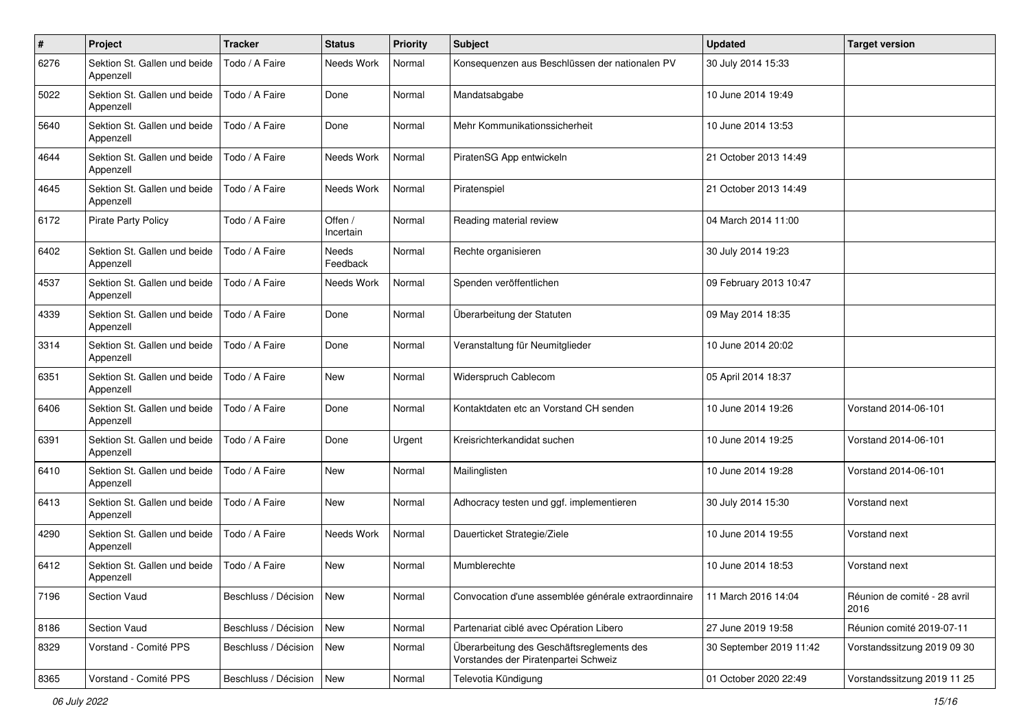| #    | Project                                   | <b>Tracker</b>       | <b>Status</b>            | <b>Priority</b> | <b>Subject</b>                                                                    | <b>Updated</b>          | <b>Target version</b>                |
|------|-------------------------------------------|----------------------|--------------------------|-----------------|-----------------------------------------------------------------------------------|-------------------------|--------------------------------------|
| 6276 | Sektion St. Gallen und beide<br>Appenzell | Todo / A Faire       | Needs Work               | Normal          | Konsequenzen aus Beschlüssen der nationalen PV                                    | 30 July 2014 15:33      |                                      |
| 5022 | Sektion St. Gallen und beide<br>Appenzell | Todo / A Faire       | Done                     | Normal          | Mandatsabgabe                                                                     | 10 June 2014 19:49      |                                      |
| 5640 | Sektion St. Gallen und beide<br>Appenzell | Todo / A Faire       | Done                     | Normal          | Mehr Kommunikationssicherheit                                                     | 10 June 2014 13:53      |                                      |
| 4644 | Sektion St. Gallen und beide<br>Appenzell | Todo / A Faire       | Needs Work               | Normal          | PiratenSG App entwickeln                                                          | 21 October 2013 14:49   |                                      |
| 4645 | Sektion St. Gallen und beide<br>Appenzell | Todo / A Faire       | Needs Work               | Normal          | Piratenspiel                                                                      | 21 October 2013 14:49   |                                      |
| 6172 | <b>Pirate Party Policy</b>                | Todo / A Faire       | Offen /<br>Incertain     | Normal          | Reading material review                                                           | 04 March 2014 11:00     |                                      |
| 6402 | Sektion St. Gallen und beide<br>Appenzell | Todo / A Faire       | <b>Needs</b><br>Feedback | Normal          | Rechte organisieren                                                               | 30 July 2014 19:23      |                                      |
| 4537 | Sektion St. Gallen und beide<br>Appenzell | Todo / A Faire       | Needs Work               | Normal          | Spenden veröffentlichen                                                           | 09 February 2013 10:47  |                                      |
| 4339 | Sektion St. Gallen und beide<br>Appenzell | Todo / A Faire       | Done                     | Normal          | Überarbeitung der Statuten                                                        | 09 May 2014 18:35       |                                      |
| 3314 | Sektion St. Gallen und beide<br>Appenzell | Todo / A Faire       | Done                     | Normal          | Veranstaltung für Neumitglieder                                                   | 10 June 2014 20:02      |                                      |
| 6351 | Sektion St. Gallen und beide<br>Appenzell | Todo / A Faire       | <b>New</b>               | Normal          | Widerspruch Cablecom                                                              | 05 April 2014 18:37     |                                      |
| 6406 | Sektion St. Gallen und beide<br>Appenzell | Todo / A Faire       | Done                     | Normal          | Kontaktdaten etc an Vorstand CH senden                                            | 10 June 2014 19:26      | Vorstand 2014-06-101                 |
| 6391 | Sektion St. Gallen und beide<br>Appenzell | Todo / A Faire       | Done                     | Urgent          | Kreisrichterkandidat suchen                                                       | 10 June 2014 19:25      | Vorstand 2014-06-101                 |
| 6410 | Sektion St. Gallen und beide<br>Appenzell | Todo / A Faire       | <b>New</b>               | Normal          | Mailinglisten                                                                     | 10 June 2014 19:28      | Vorstand 2014-06-101                 |
| 6413 | Sektion St. Gallen und beide<br>Appenzell | Todo / A Faire       | New                      | Normal          | Adhocracy testen und ggf. implementieren                                          | 30 July 2014 15:30      | Vorstand next                        |
| 4290 | Sektion St. Gallen und beide<br>Appenzell | Todo / A Faire       | Needs Work               | Normal          | Dauerticket Strategie/Ziele                                                       | 10 June 2014 19:55      | Vorstand next                        |
| 6412 | Sektion St. Gallen und beide<br>Appenzell | Todo / A Faire       | New                      | Normal          | Mumblerechte                                                                      | 10 June 2014 18:53      | Vorstand next                        |
| 7196 | Section Vaud                              | Beschluss / Décision | <b>New</b>               | Normal          | Convocation d'une assemblée générale extraordinnaire                              | 11 March 2016 14:04     | Réunion de comité - 28 avril<br>2016 |
| 8186 | Section Vaud                              | Beschluss / Décision | <b>New</b>               | Normal          | Partenariat ciblé avec Opération Libero                                           | 27 June 2019 19:58      | Réunion comité 2019-07-11            |
| 8329 | Vorstand - Comité PPS                     | Beschluss / Décision | New                      | Normal          | Überarbeitung des Geschäftsreglements des<br>Vorstandes der Piratenpartei Schweiz | 30 September 2019 11:42 | Vorstandssitzung 2019 09 30          |
| 8365 | Vorstand - Comité PPS                     | Beschluss / Décision | New                      | Normal          | Televotia Kündigung                                                               | 01 October 2020 22:49   | Vorstandssitzung 2019 11 25          |